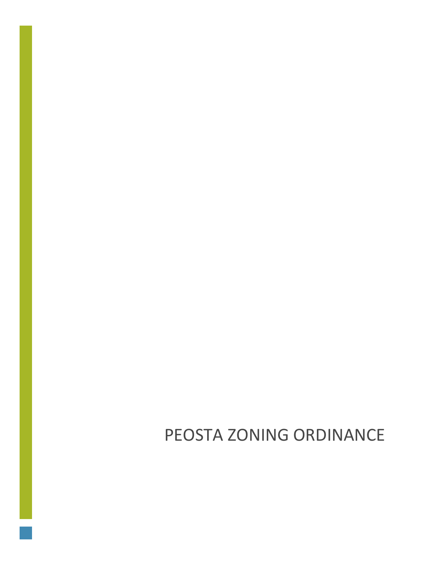PEOSTA ZONING ORDINANCE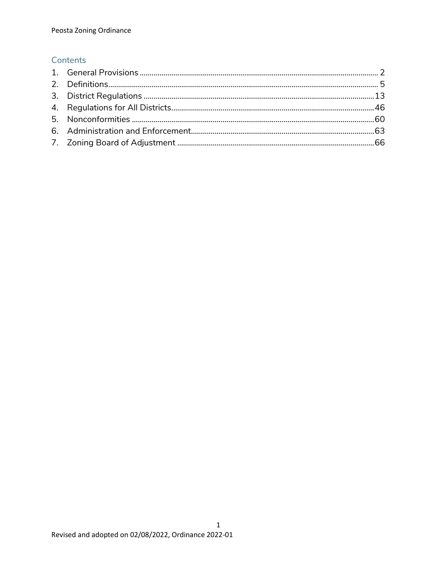# Contents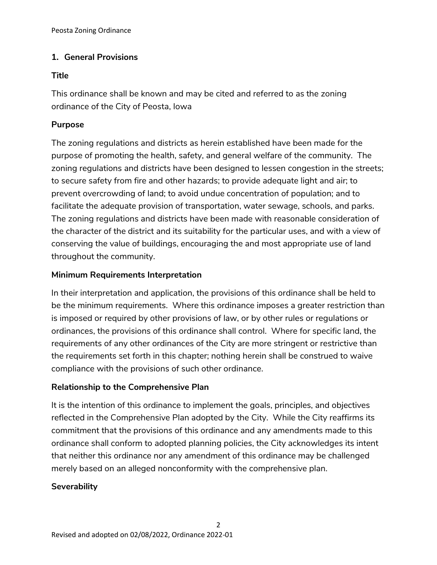# <span id="page-2-0"></span>**1. General Provisions**

### **Title**

This ordinance shall be known and may be cited and referred to as the zoning ordinance of the City of Peosta, Iowa

# **Purpose**

The zoning regulations and districts as herein established have been made for the purpose of promoting the health, safety, and general welfare of the community. The zoning regulations and districts have been designed to lessen congestion in the streets; to secure safety from fire and other hazards; to provide adequate light and air; to prevent overcrowding of land; to avoid undue concentration of population; and to facilitate the adequate provision of transportation, water sewage, schools, and parks. The zoning regulations and districts have been made with reasonable consideration of the character of the district and its suitability for the particular uses, and with a view of conserving the value of buildings, encouraging the and most appropriate use of land throughout the community.

# **Minimum Requirements Interpretation**

In their interpretation and application, the provisions of this ordinance shall be held to be the minimum requirements. Where this ordinance imposes a greater restriction than is imposed or required by other provisions of law, or by other rules or regulations or ordinances, the provisions of this ordinance shall control. Where for specific land, the requirements of any other ordinances of the City are more stringent or restrictive than the requirements set forth in this chapter; nothing herein shall be construed to waive compliance with the provisions of such other ordinance.

# **Relationship to the Comprehensive Plan**

It is the intention of this ordinance to implement the goals, principles, and objectives reflected in the Comprehensive Plan adopted by the City. While the City reaffirms its commitment that the provisions of this ordinance and any amendments made to this ordinance shall conform to adopted planning policies, the City acknowledges its intent that neither this ordinance nor any amendment of this ordinance may be challenged merely based on an alleged nonconformity with the comprehensive plan.

### **Severability**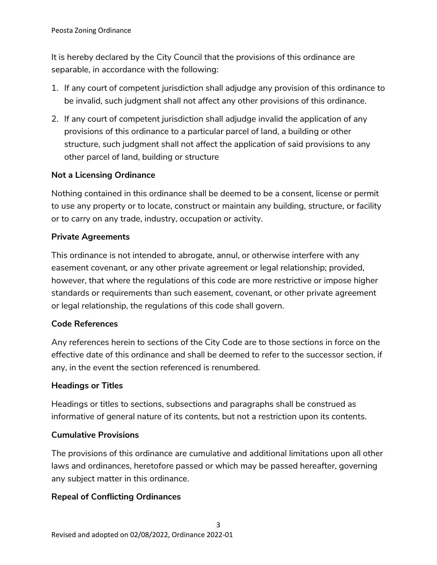It is hereby declared by the City Council that the provisions of this ordinance are separable, in accordance with the following:

- 1. If any court of competent jurisdiction shall adjudge any provision of this ordinance to be invalid, such judgment shall not affect any other provisions of this ordinance.
- 2. If any court of competent jurisdiction shall adjudge invalid the application of any provisions of this ordinance to a particular parcel of land, a building or other structure, such judgment shall not affect the application of said provisions to any other parcel of land, building or structure

# **Not a Licensing Ordinance**

Nothing contained in this ordinance shall be deemed to be a consent, license or permit to use any property or to locate, construct or maintain any building, structure, or facility or to carry on any trade, industry, occupation or activity.

# **Private Agreements**

This ordinance is not intended to abrogate, annul, or otherwise interfere with any easement covenant, or any other private agreement or legal relationship; provided, however, that where the regulations of this code are more restrictive or impose higher standards or requirements than such easement, covenant, or other private agreement or legal relationship, the regulations of this code shall govern.

# **Code References**

Any references herein to sections of the City Code are to those sections in force on the effective date of this ordinance and shall be deemed to refer to the successor section, if any, in the event the section referenced is renumbered.

# **Headings or Titles**

Headings or titles to sections, subsections and paragraphs shall be construed as informative of general nature of its contents, but not a restriction upon its contents.

# **Cumulative Provisions**

The provisions of this ordinance are cumulative and additional limitations upon all other laws and ordinances, heretofore passed or which may be passed hereafter, governing any subject matter in this ordinance.

# **Repeal of Conflicting Ordinances**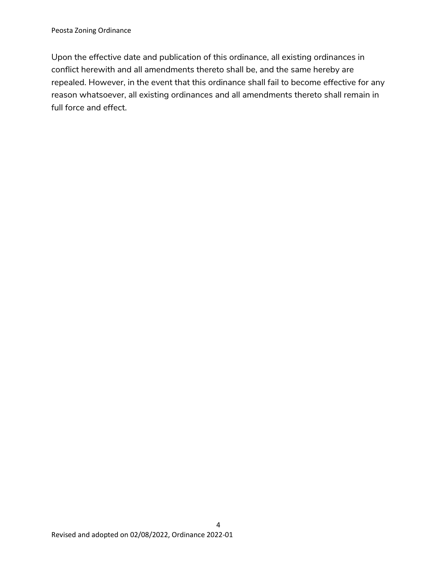Upon the effective date and publication of this ordinance, all existing ordinances in conflict herewith and all amendments thereto shall be, and the same hereby are repealed. However, in the event that this ordinance shall fail to become effective for any reason whatsoever, all existing ordinances and all amendments thereto shall remain in full force and effect.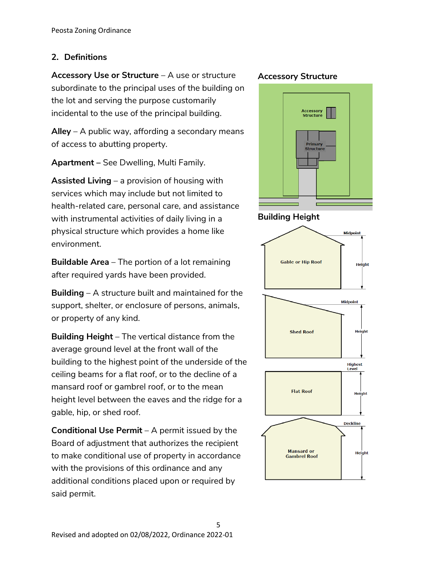# <span id="page-5-0"></span>**2. Definitions**

**Accessory Use or Structure** – A use or structure subordinate to the principal uses of the building on the lot and serving the purpose customarily incidental to the use of the principal building.

**Alley** – A public way, affording a secondary means of access to abutting property.

**Apartment –** See Dwelling, Multi Family.

**Assisted Living** – a provision of housing with services which may include but not limited to health-related care, personal care, and assistance with instrumental activities of daily living in a physical structure which provides a home like environment.

**Buildable Area** – The portion of a lot remaining after required yards have been provided.

**Building** – A structure built and maintained for the support, shelter, or enclosure of persons, animals, or property of any kind.

**Building Height** – The vertical distance from the average ground level at the front wall of the building to the highest point of the underside of the ceiling beams for a flat roof, or to the decline of a mansard roof or gambrel roof, or to the mean height level between the eaves and the ridge for a gable, hip, or shed roof.

**Conditional Use Permit** – A permit issued by the Board of adjustment that authorizes the recipient to make conditional use of property in accordance with the provisions of this ordinance and any additional conditions placed upon or required by said permit.

### **Accessory Structure**



### **Building Height**

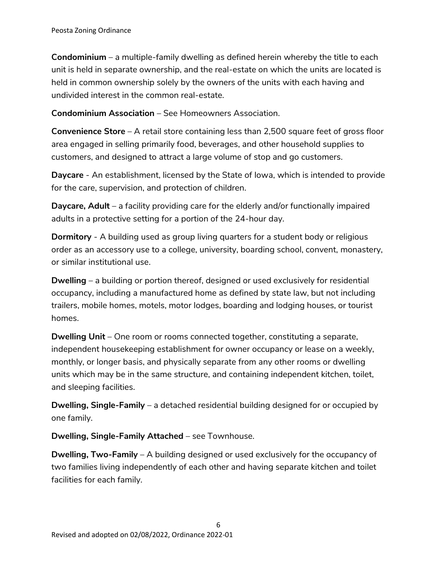**Condominium** – a multiple-family dwelling as defined herein whereby the title to each unit is held in separate ownership, and the real-estate on which the units are located is held in common ownership solely by the owners of the units with each having and undivided interest in the common real-estate.

**Condominium Association** – See Homeowners Association.

**Convenience Store** – A retail store containing less than 2,500 square feet of gross floor area engaged in selling primarily food, beverages, and other household supplies to customers, and designed to attract a large volume of stop and go customers.

**Daycare** - An establishment, licensed by the State of Iowa, which is intended to provide for the care, supervision, and protection of children.

**Daycare, Adult** – a facility providing care for the elderly and/or functionally impaired adults in a protective setting for a portion of the 24-hour day.

**Dormitory** - A building used as group living quarters for a student body or religious order as an accessory use to a college, university, boarding school, convent, monastery, or similar institutional use.

**Dwelling** – a building or portion thereof, designed or used exclusively for residential occupancy, including a manufactured home as defined by state law, but not including trailers, mobile homes, motels, motor lodges, boarding and lodging houses, or tourist homes.

**Dwelling Unit** – One room or rooms connected together, constituting a separate, independent housekeeping establishment for owner occupancy or lease on a weekly, monthly, or longer basis, and physically separate from any other rooms or dwelling units which may be in the same structure, and containing independent kitchen, toilet, and sleeping facilities.

**Dwelling, Single-Family** – a detached residential building designed for or occupied by one family.

**Dwelling, Single-Family Attached** – see Townhouse.

**Dwelling, Two-Family** – A building designed or used exclusively for the occupancy of two families living independently of each other and having separate kitchen and toilet facilities for each family.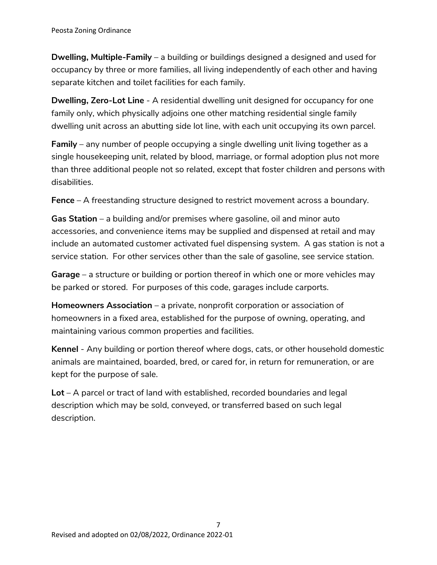**Dwelling, Multiple-Family** – a building or buildings designed a designed and used for occupancy by three or more families, all living independently of each other and having separate kitchen and toilet facilities for each family.

**Dwelling, Zero-Lot Line** - A residential dwelling unit designed for occupancy for one family only, which physically adjoins one other matching residential single family dwelling unit across an abutting side lot line, with each unit occupying its own parcel.

**Family** – any number of people occupying a single dwelling unit living together as a single housekeeping unit, related by blood, marriage, or formal adoption plus not more than three additional people not so related, except that foster children and persons with disabilities.

**Fence** – A freestanding structure designed to restrict movement across a boundary.

**Gas Station** – a building and/or premises where gasoline, oil and minor auto accessories, and convenience items may be supplied and dispensed at retail and may include an automated customer activated fuel dispensing system. A gas station is not a service station. For other services other than the sale of gasoline, see service station.

**Garage** – a structure or building or portion thereof in which one or more vehicles may be parked or stored. For purposes of this code, garages include carports.

**Homeowners Association** – a private, nonprofit corporation or association of homeowners in a fixed area, established for the purpose of owning, operating, and maintaining various common properties and facilities.

**Kennel** - Any building or portion thereof where dogs, cats, or other household domestic animals are maintained, boarded, bred, or cared for, in return for remuneration, or are kept for the purpose of sale.

**Lot** – A parcel or tract of land with established, recorded boundaries and legal description which may be sold, conveyed, or transferred based on such legal description.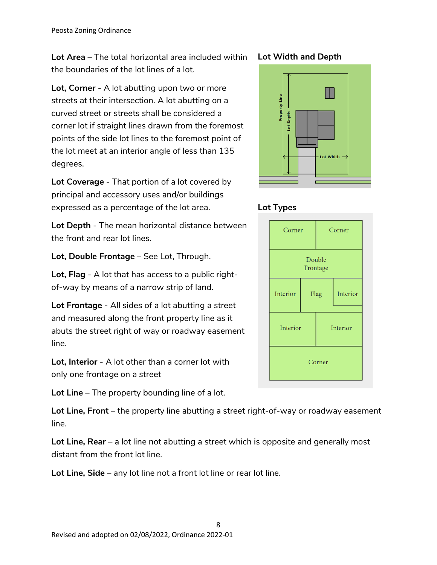**Lot Area** – The total horizontal area included within the boundaries of the lot lines of a lot.

**Lot, Corner** - A lot abutting upon two or more streets at their intersection. A lot abutting on a curved street or streets shall be considered a corner lot if straight lines drawn from the foremost points of the side lot lines to the foremost point of the lot meet at an interior angle of less than 135 degrees.

**Lot Coverage** - That portion of a lot covered by principal and accessory uses and/or buildings expressed as a percentage of the lot area.

**Lot Depth** - The mean horizontal distance between the front and rear lot lines.

**Lot, Double Frontage** – See Lot, Through.

**Lot, Flag** - A lot that has access to a public rightof-way by means of a narrow strip of land.

**Lot Frontage** - All sides of a lot abutting a street and measured along the front property line as it abuts the street right of way or roadway easement line.

**Lot, Interior** - A lot other than a corner lot with only one frontage on a street

**Lot Line** – The property bounding line of a lot.

**Lot Line, Front** – the property line abutting a street right-of-way or roadway easement line.

**Lot Line, Rear** – a lot line not abutting a street which is opposite and generally most distant from the front lot line.

**Lot Line, Side** – any lot line not a front lot line or rear lot line.

#### 8 Revised and adopted on 02/08/2022, Ordinance 2022-01

### **Lot Width and Depth**





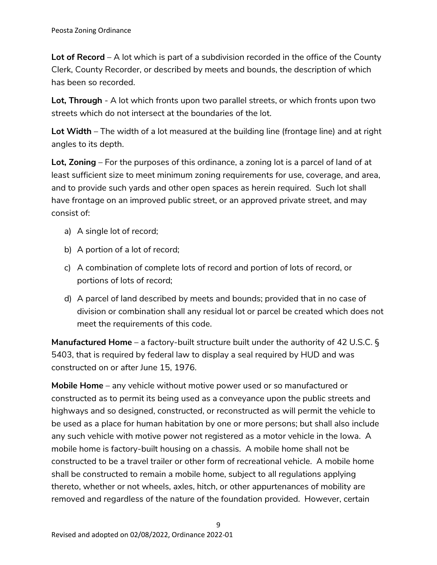**Lot of Record** – A lot which is part of a subdivision recorded in the office of the County Clerk, County Recorder, or described by meets and bounds, the description of which has been so recorded.

**Lot, Through** - A lot which fronts upon two parallel streets, or which fronts upon two streets which do not intersect at the boundaries of the lot.

**Lot Width** – The width of a lot measured at the building line (frontage line) and at right angles to its depth.

**Lot, Zoning** – For the purposes of this ordinance, a zoning lot is a parcel of land of at least sufficient size to meet minimum zoning requirements for use, coverage, and area, and to provide such yards and other open spaces as herein required. Such lot shall have frontage on an improved public street, or an approved private street, and may consist of:

- a) A single lot of record;
- b) A portion of a lot of record;
- c) A combination of complete lots of record and portion of lots of record, or portions of lots of record;
- d) A parcel of land described by meets and bounds; provided that in no case of division or combination shall any residual lot or parcel be created which does not meet the requirements of this code.

**Manufactured Home** – a factory-built structure built under the authority of 42 U.S.C. § 5403, that is required by federal law to display a seal required by HUD and was constructed on or after June 15, 1976.

**Mobile Home** – any vehicle without motive power used or so manufactured or constructed as to permit its being used as a conveyance upon the public streets and highways and so designed, constructed, or reconstructed as will permit the vehicle to be used as a place for human habitation by one or more persons; but shall also include any such vehicle with motive power not registered as a motor vehicle in the Iowa. A mobile home is factory-built housing on a chassis. A mobile home shall not be constructed to be a travel trailer or other form of recreational vehicle. A mobile home shall be constructed to remain a mobile home, subject to all regulations applying thereto, whether or not wheels, axles, hitch, or other appurtenances of mobility are removed and regardless of the nature of the foundation provided. However, certain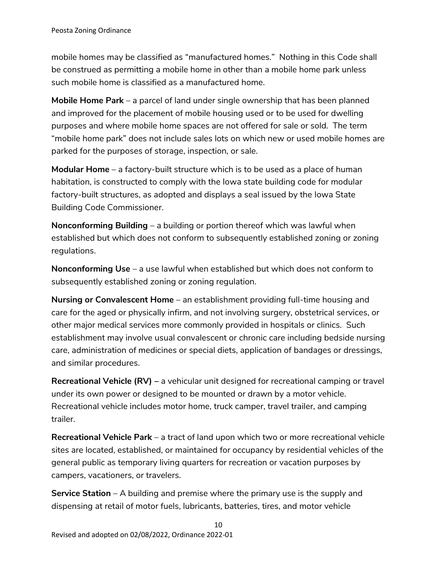mobile homes may be classified as "manufactured homes." Nothing in this Code shall be construed as permitting a mobile home in other than a mobile home park unless such mobile home is classified as a manufactured home.

**Mobile Home Park** – a parcel of land under single ownership that has been planned and improved for the placement of mobile housing used or to be used for dwelling purposes and where mobile home spaces are not offered for sale or sold. The term "mobile home park" does not include sales lots on which new or used mobile homes are parked for the purposes of storage, inspection, or sale.

**Modular Home** – a factory-built structure which is to be used as a place of human habitation, is constructed to comply with the Iowa state building code for modular factory-built structures, as adopted and displays a seal issued by the Iowa State Building Code Commissioner.

**Nonconforming Building** – a building or portion thereof which was lawful when established but which does not conform to subsequently established zoning or zoning regulations.

**Nonconforming Use** – a use lawful when established but which does not conform to subsequently established zoning or zoning regulation.

**Nursing or Convalescent Home** – an establishment providing full-time housing and care for the aged or physically infirm, and not involving surgery, obstetrical services, or other major medical services more commonly provided in hospitals or clinics. Such establishment may involve usual convalescent or chronic care including bedside nursing care, administration of medicines or special diets, application of bandages or dressings, and similar procedures.

**Recreational Vehicle (RV) –** a vehicular unit designed for recreational camping or travel under its own power or designed to be mounted or drawn by a motor vehicle. Recreational vehicle includes motor home, truck camper, travel trailer, and camping trailer.

**Recreational Vehicle Park** – a tract of land upon which two or more recreational vehicle sites are located, established, or maintained for occupancy by residential vehicles of the general public as temporary living quarters for recreation or vacation purposes by campers, vacationers, or travelers.

**Service Station** – A building and premise where the primary use is the supply and dispensing at retail of motor fuels, lubricants, batteries, tires, and motor vehicle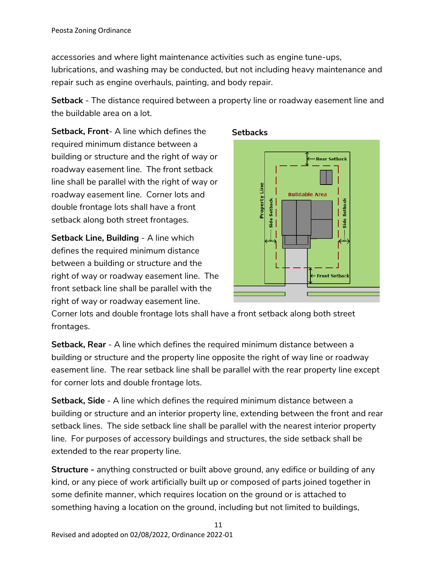accessories and where light maintenance activities such as engine tune-ups, lubrications, and washing may be conducted, but not including heavy maintenance and repair such as engine overhauls, painting, and body repair.

**Setback** - The distance required between a property line or roadway easement line and the buildable area on a lot.

**Setback, Front**- A line which defines the required minimum distance between a building or structure and the right of way or roadway easement line. The front setback line shall be parallel with the right of way or roadway easement line. Corner lots and double frontage lots shall have a front setback along both street frontages.

**Setback Line, Building** - A line which defines the required minimum distance between a building or structure and the right of way or roadway easement line. The front setback line shall be parallel with the right of way or roadway easement line.



**Setbacks**

Corner lots and double frontage lots shall have a front setback along both street frontages.

**Setback, Rear** - A line which defines the required minimum distance between a building or structure and the property line opposite the right of way line or roadway easement line. The rear setback line shall be parallel with the rear property line except for corner lots and double frontage lots.

**Setback, Side** - A line which defines the required minimum distance between a building or structure and an interior property line, extending between the front and rear setback lines. The side setback line shall be parallel with the nearest interior property line. For purposes of accessory buildings and structures, the side setback shall be extended to the rear property line.

**Structure -** anything constructed or built above ground, any edifice or building of any kind, or any piece of work artificially built up or composed of parts joined together in some definite manner, which requires location on the ground or is attached to something having a location on the ground, including but not limited to buildings,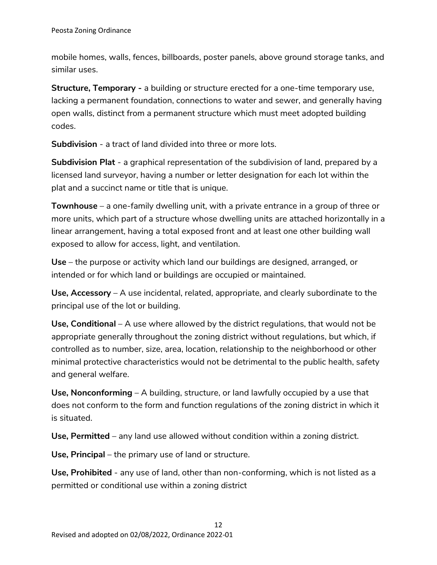mobile homes, walls, fences, billboards, poster panels, above ground storage tanks, and similar uses.

**Structure, Temporary -** a building or structure erected for a one-time temporary use, lacking a permanent foundation, connections to water and sewer, and generally having open walls, distinct from a permanent structure which must meet adopted building codes.

**Subdivision** - a tract of land divided into three or more lots.

**Subdivision Plat** - a graphical representation of the subdivision of land, prepared by a licensed land surveyor, having a number or letter designation for each lot within the plat and a succinct name or title that is unique.

**Townhouse** – a one-family dwelling unit, with a private entrance in a group of three or more units, which part of a structure whose dwelling units are attached horizontally in a linear arrangement, having a total exposed front and at least one other building wall exposed to allow for access, light, and ventilation.

**Use** – the purpose or activity which land our buildings are designed, arranged, or intended or for which land or buildings are occupied or maintained.

**Use, Accessory** – A use incidental, related, appropriate, and clearly subordinate to the principal use of the lot or building.

**Use, Conditional** – A use where allowed by the district regulations, that would not be appropriate generally throughout the zoning district without regulations, but which, if controlled as to number, size, area, location, relationship to the neighborhood or other minimal protective characteristics would not be detrimental to the public health, safety and general welfare.

**Use, Nonconforming** – A building, structure, or land lawfully occupied by a use that does not conform to the form and function regulations of the zoning district in which it is situated.

**Use, Permitted** – any land use allowed without condition within a zoning district.

**Use, Principal** – the primary use of land or structure.

**Use, Prohibited** - any use of land, other than non-conforming, which is not listed as a permitted or conditional use within a zoning district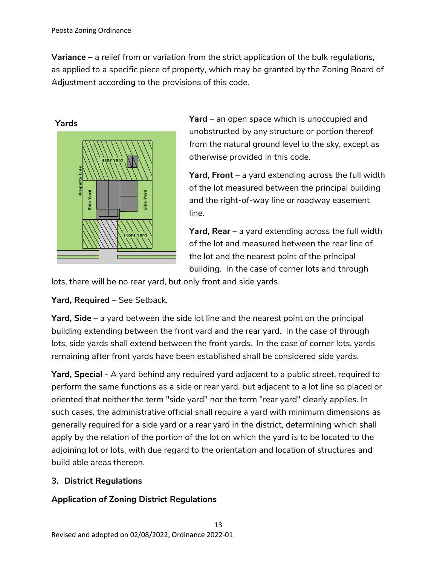**Variance –** a relief from or variation from the strict application of the bulk regulations, as applied to a specific piece of property, which may be granted by the Zoning Board of Adjustment according to the provisions of this code.



**Yard** – an open space which is unoccupied and unobstructed by any structure or portion thereof from the natural ground level to the sky, except as otherwise provided in this code.

**Yard, Front** – a yard extending across the full width of the lot measured between the principal building and the right-of-way line or roadway easement line.

**Yard, Rear** – a yard extending across the full width of the lot and measured between the rear line of the lot and the nearest point of the principal building. In the case of corner lots and through

lots, there will be no rear yard, but only front and side yards.

**Yard, Required** – See Setback.

**Yard, Side** – a yard between the side lot line and the nearest point on the principal building extending between the front yard and the rear yard. In the case of through lots, side yards shall extend between the front yards. In the case of corner lots, yards remaining after front yards have been established shall be considered side yards.

**Yard, Special** - A yard behind any required yard adjacent to a public street, required to perform the same functions as a side or rear yard, but adjacent to a lot line so placed or oriented that neither the term "side yard" nor the term "rear yard" clearly applies. In such cases, the administrative official shall require a yard with minimum dimensions as generally required for a side yard or a rear yard in the district, determining which shall apply by the relation of the portion of the lot on which the yard is to be located to the adjoining lot or lots, with due regard to the orientation and location of structures and build able areas thereon.

# <span id="page-13-0"></span>**3. District Regulations**

# **Application of Zoning District Regulations**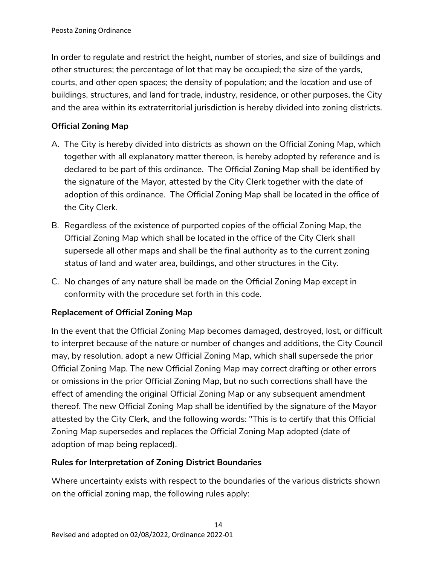In order to regulate and restrict the height, number of stories, and size of buildings and other structures; the percentage of lot that may be occupied; the size of the yards, courts, and other open spaces; the density of population; and the location and use of buildings, structures, and land for trade, industry, residence, or other purposes, the City and the area within its extraterritorial jurisdiction is hereby divided into zoning districts.

# **Official Zoning Map**

- A. The City is hereby divided into districts as shown on the Official Zoning Map, which together with all explanatory matter thereon, is hereby adopted by reference and is declared to be part of this ordinance. The Official Zoning Map shall be identified by the signature of the Mayor, attested by the City Clerk together with the date of adoption of this ordinance. The Official Zoning Map shall be located in the office of the City Clerk.
- B. Regardless of the existence of purported copies of the official Zoning Map, the Official Zoning Map which shall be located in the office of the City Clerk shall supersede all other maps and shall be the final authority as to the current zoning status of land and water area, buildings, and other structures in the City.
- C. No changes of any nature shall be made on the Official Zoning Map except in conformity with the procedure set forth in this code.

# **Replacement of Official Zoning Map**

In the event that the Official Zoning Map becomes damaged, destroyed, lost, or difficult to interpret because of the nature or number of changes and additions, the City Council may, by resolution, adopt a new Official Zoning Map, which shall supersede the prior Official Zoning Map. The new Official Zoning Map may correct drafting or other errors or omissions in the prior Official Zoning Map, but no such corrections shall have the effect of amending the original Official Zoning Map or any subsequent amendment thereof. The new Official Zoning Map shall be identified by the signature of the Mayor attested by the City Clerk, and the following words: "This is to certify that this Official Zoning Map supersedes and replaces the Official Zoning Map adopted (date of adoption of map being replaced).

# **Rules for Interpretation of Zoning District Boundaries**

Where uncertainty exists with respect to the boundaries of the various districts shown on the official zoning map, the following rules apply: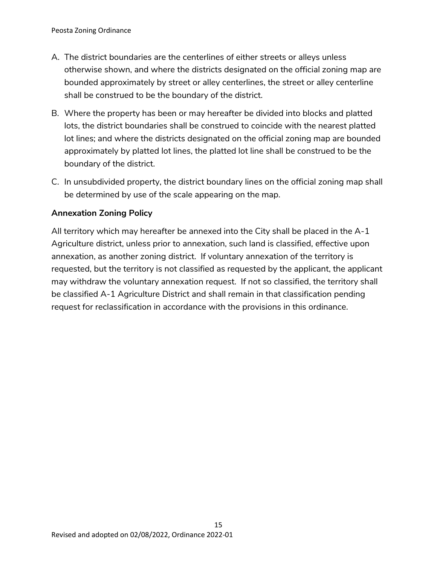- A. The district boundaries are the centerlines of either streets or alleys unless otherwise shown, and where the districts designated on the official zoning map are bounded approximately by street or alley centerlines, the street or alley centerline shall be construed to be the boundary of the district.
- B. Where the property has been or may hereafter be divided into blocks and platted lots, the district boundaries shall be construed to coincide with the nearest platted lot lines; and where the districts designated on the official zoning map are bounded approximately by platted lot lines, the platted lot line shall be construed to be the boundary of the district.
- C. In unsubdivided property, the district boundary lines on the official zoning map shall be determined by use of the scale appearing on the map.

### **Annexation Zoning Policy**

All territory which may hereafter be annexed into the City shall be placed in the A-1 Agriculture district, unless prior to annexation, such land is classified, effective upon annexation, as another zoning district. If voluntary annexation of the territory is requested, but the territory is not classified as requested by the applicant, the applicant may withdraw the voluntary annexation request. If not so classified, the territory shall be classified A-1 Agriculture District and shall remain in that classification pending request for reclassification in accordance with the provisions in this ordinance.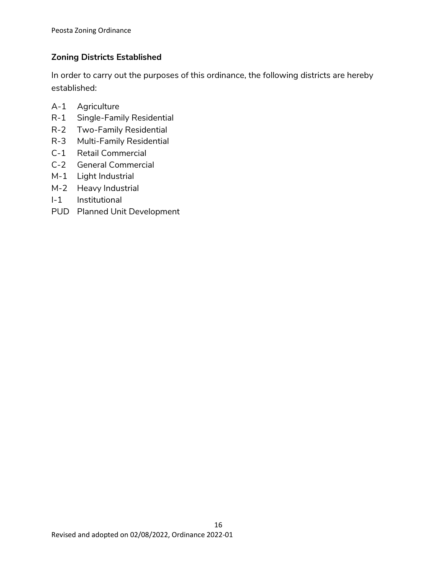# **Zoning Districts Established**

In order to carry out the purposes of this ordinance, the following districts are hereby established:

- A-1 Agriculture
- R-1 Single-Family Residential
- R-2 Two-Family Residential
- R-3 Multi-Family Residential
- C-1 Retail Commercial
- C-2 General Commercial
- M-1 Light Industrial
- M-2 Heavy Industrial
- I-1 Institutional
- PUD Planned Unit Development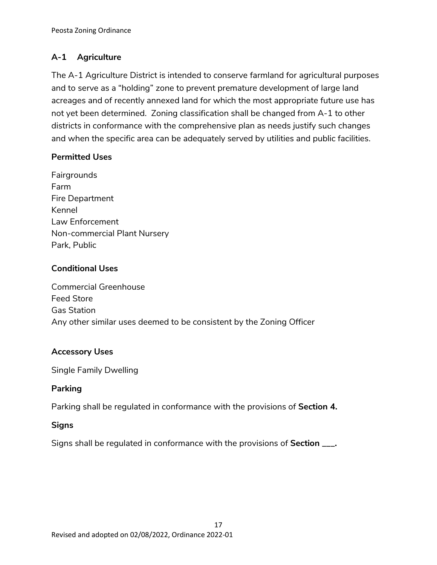# **A-1 Agriculture**

The A-1 Agriculture District is intended to conserve farmland for agricultural purposes and to serve as a "holding" zone to prevent premature development of large land acreages and of recently annexed land for which the most appropriate future use has not yet been determined. Zoning classification shall be changed from A-1 to other districts in conformance with the comprehensive plan as needs justify such changes and when the specific area can be adequately served by utilities and public facilities.

# **Permitted Uses**

Fairgrounds Farm Fire Department Kennel Law Enforcement Non-commercial Plant Nursery Park, Public

### **Conditional Uses**

Commercial Greenhouse Feed Store Gas Station Any other similar uses deemed to be consistent by the Zoning Officer

### **Accessory Uses**

Single Family Dwelling

# **Parking**

Parking shall be regulated in conformance with the provisions of **Section 4.**

# **Signs**

Signs shall be regulated in conformance with the provisions of **Section \_\_\_.**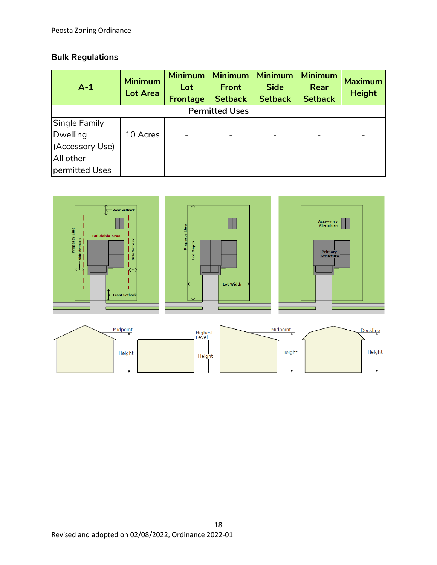# **Bulk Regulations**

| $A-1$                 | <b>Minimum</b><br><b>Lot Area</b> | <b>Minimum</b><br>Lot<br>Frontage | <b>Minimum</b><br><b>Front</b><br><b>Setback</b> | <b>Minimum</b><br><b>Side</b><br><b>Setback</b> | <b>Minimum</b><br>Rear<br><b>Setback</b> | <b>Maximum</b><br><b>Height</b> |
|-----------------------|-----------------------------------|-----------------------------------|--------------------------------------------------|-------------------------------------------------|------------------------------------------|---------------------------------|
| <b>Permitted Uses</b> |                                   |                                   |                                                  |                                                 |                                          |                                 |
| Single Family         |                                   |                                   |                                                  |                                                 |                                          |                                 |
| Dwelling              | 10 Acres                          |                                   |                                                  |                                                 |                                          |                                 |
| (Accessory Use)       |                                   |                                   |                                                  |                                                 |                                          |                                 |
| All other             |                                   |                                   |                                                  |                                                 |                                          |                                 |
| permitted Uses        |                                   |                                   |                                                  |                                                 |                                          |                                 |

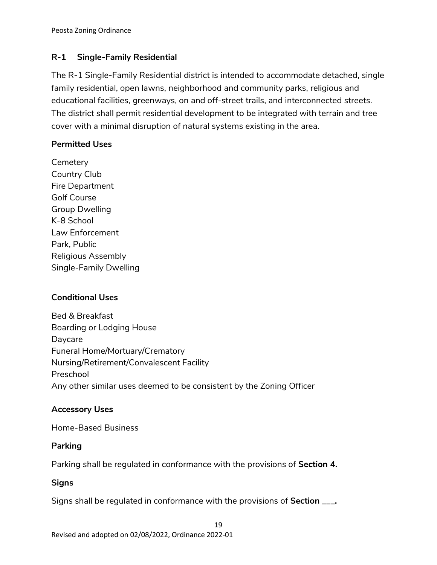# **R-1 Single-Family Residential**

The R-1 Single-Family Residential district is intended to accommodate detached, single family residential, open lawns, neighborhood and community parks, religious and educational facilities, greenways, on and off-street trails, and interconnected streets. The district shall permit residential development to be integrated with terrain and tree cover with a minimal disruption of natural systems existing in the area.

# **Permitted Uses**

**Cemetery** Country Club Fire Department Golf Course Group Dwelling K-8 School Law Enforcement Park, Public Religious Assembly Single-Family Dwelling

# **Conditional Uses**

Bed & Breakfast Boarding or Lodging House Daycare Funeral Home/Mortuary/Crematory Nursing/Retirement/Convalescent Facility Preschool Any other similar uses deemed to be consistent by the Zoning Officer

# **Accessory Uses**

Home-Based Business

# **Parking**

Parking shall be regulated in conformance with the provisions of **Section 4.**

# **Signs**

Signs shall be regulated in conformance with the provisions of **Section \_\_\_.**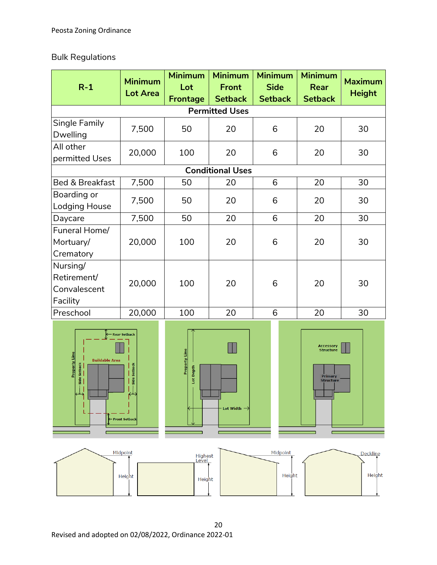# Bulk Regulations

| $R-1$                                                                                                                             | <b>Minimum</b><br><b>Lot Area</b> | <b>Minimum</b><br>Lot<br><b>Frontage</b> | <b>Minimum</b><br><b>Front</b><br><b>Setback</b> | <b>Minimum</b><br><b>Side</b><br><b>Setback</b> | <b>Minimum</b><br>Rear<br><b>Setback</b>                     | <b>Maximum</b><br><b>Height</b> |  |
|-----------------------------------------------------------------------------------------------------------------------------------|-----------------------------------|------------------------------------------|--------------------------------------------------|-------------------------------------------------|--------------------------------------------------------------|---------------------------------|--|
|                                                                                                                                   | <b>Permitted Uses</b>             |                                          |                                                  |                                                 |                                                              |                                 |  |
| Single Family<br>Dwelling                                                                                                         | 7,500                             | 50                                       | 20                                               | 6                                               | 20                                                           | 30                              |  |
| All other<br>permitted Uses                                                                                                       | 20,000                            | 100                                      | 20                                               | 6                                               | 20                                                           | 30                              |  |
|                                                                                                                                   |                                   |                                          | <b>Conditional Uses</b>                          |                                                 |                                                              |                                 |  |
| Bed & Breakfast                                                                                                                   | 7,500                             | 50                                       | 20                                               | 6                                               | 20                                                           | 30                              |  |
| Boarding or<br>Lodging House                                                                                                      | 7,500                             | 50                                       | 20                                               | 6                                               | 20                                                           | 30                              |  |
| Daycare                                                                                                                           | 7,500                             | 50                                       | 20                                               | 6                                               | 20                                                           | 30                              |  |
| Funeral Home/<br>Mortuary/<br>Crematory                                                                                           | 20,000                            | 100                                      | 20                                               | 6                                               | 20                                                           | 30                              |  |
| Nursing/<br>Retirement/<br>Convalescent<br>Facility                                                                               | 20,000                            | 100                                      | 20                                               | 6                                               | 20                                                           | 30                              |  |
| Preschool                                                                                                                         | 20,000                            | 100                                      | 20                                               | 6                                               | 20                                                           | 30                              |  |
| <b>Rear Setback</b><br>Property Line<br><b>Buildable Area</b><br>Side Setback<br>Setba<br>Side<br>$\perp$<br><b>Front Setback</b> |                                   | <b>Property Line</b><br>Lot Depth        | Lot Width $-$                                    |                                                 | Accessory<br><b>Structure</b><br>Primary<br><b>Structure</b> |                                 |  |
|                                                                                                                                   | Midpoint<br>Height                | Highest<br>Level<br>Height               |                                                  | Midpoint<br>Height                              |                                                              | <b>Deckline</b><br>Height       |  |

20 Revised and adopted on 02/08/2022, Ordinance 2022-01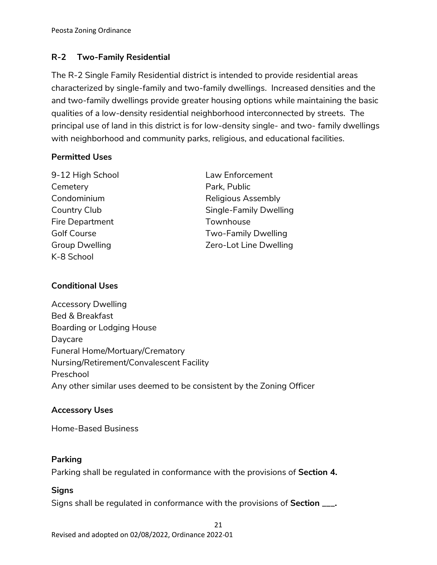# **R-2 Two-Family Residential**

The R-2 Single Family Residential district is intended to provide residential areas characterized by single-family and two-family dwellings. Increased densities and the and two-family dwellings provide greater housing options while maintaining the basic qualities of a low-density residential neighborhood interconnected by streets. The principal use of land in this district is for low-density single- and two- family dwellings with neighborhood and community parks, religious, and educational facilities.

### **Permitted Uses**

| 9-12 High School      | Law Enforcement            |
|-----------------------|----------------------------|
| Cemetery              | Park, Public               |
| Condominium           | <b>Religious Assembly</b>  |
| Country Club          | Single-Family Dwelling     |
| Fire Department       | Townhouse                  |
| <b>Golf Course</b>    | <b>Two-Family Dwelling</b> |
| <b>Group Dwelling</b> | Zero-Lot Line Dwelling     |
| K-8 School            |                            |
|                       |                            |

# **Conditional Uses**

Accessory Dwelling Bed & Breakfast Boarding or Lodging House Daycare Funeral Home/Mortuary/Crematory Nursing/Retirement/Convalescent Facility Preschool Any other similar uses deemed to be consistent by the Zoning Officer

# **Accessory Uses**

Home-Based Business

### **Parking**

Parking shall be regulated in conformance with the provisions of **Section 4.**

# **Signs**

Signs shall be regulated in conformance with the provisions of **Section \_\_\_.**

21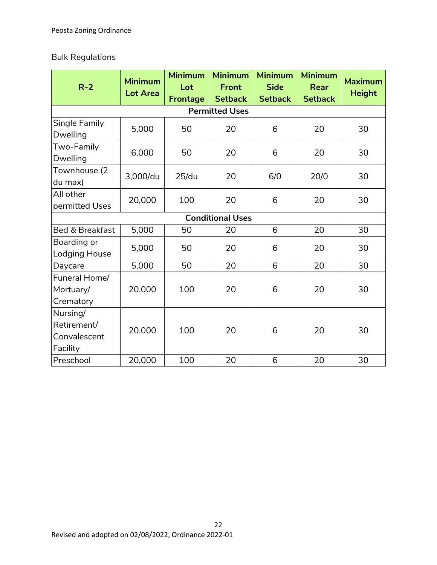# Bulk Regulations

| $R-2$                                               | <b>Minimum</b><br><b>Lot Area</b> | <b>Minimum</b><br>Lot<br><b>Frontage</b> | <b>Minimum</b><br><b>Front</b><br><b>Setback</b> | <b>Minimum</b><br><b>Side</b><br><b>Setback</b> | <b>Minimum</b><br><b>Rear</b><br><b>Setback</b> | <b>Maximum</b><br><b>Height</b> |
|-----------------------------------------------------|-----------------------------------|------------------------------------------|--------------------------------------------------|-------------------------------------------------|-------------------------------------------------|---------------------------------|
|                                                     |                                   |                                          | <b>Permitted Uses</b>                            |                                                 |                                                 |                                 |
| Single Family<br>Dwelling                           | 5,000                             | 50                                       | 20                                               | 6                                               | 20                                              | 30                              |
| Two-Family<br><b>Dwelling</b>                       | 6,000                             | 50                                       | 20                                               | 6                                               | 20                                              | 30                              |
| Townhouse (2<br>du max)                             | 3,000/du                          | 25/du                                    | 20                                               | 6/0                                             | 20/0                                            | 30                              |
| All other<br>permitted Uses                         | 20,000                            | 100                                      | 20                                               | 6                                               | 20                                              | 30                              |
|                                                     |                                   |                                          | <b>Conditional Uses</b>                          |                                                 |                                                 |                                 |
| Bed & Breakfast                                     | 5,000                             | 50                                       | 20                                               | 6                                               | 20                                              | 30                              |
| Boarding or<br>Lodging House                        | 5,000                             | 50                                       | 20                                               | 6                                               | 20                                              | 30                              |
| Daycare                                             | 5,000                             | 50                                       | 20                                               | 6                                               | 20                                              | 30                              |
| Funeral Home/<br>Mortuary/<br>Crematory             | 20,000                            | 100                                      | 20                                               | 6                                               | 20                                              | 30                              |
| Nursing/<br>Retirement/<br>Convalescent<br>Facility | 20,000                            | 100                                      | 20                                               | 6                                               | 20                                              | 30                              |
| Preschool                                           | 20,000                            | 100                                      | 20                                               | 6                                               | 20                                              | 30                              |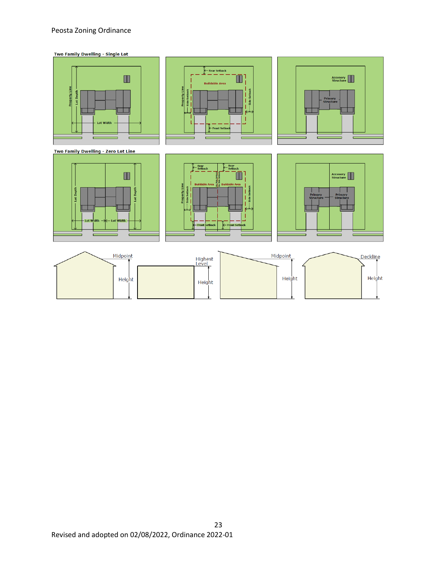#### Peosta Zoning Ordinance



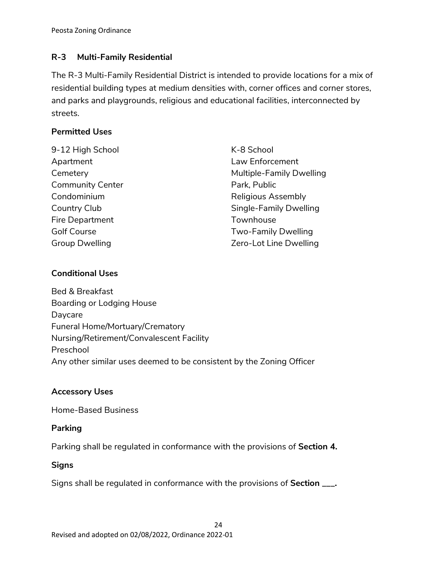# **R-3 Multi-Family Residential**

The R-3 Multi-Family Residential District is intended to provide locations for a mix of residential building types at medium densities with, corner offices and corner stores, and parks and playgrounds, religious and educational facilities, interconnected by streets.

### **Permitted Uses**

9-12 High School Apartment **Cemetery** Community Center Condominium Country Club Fire Department Golf Course Group Dwelling

K-8 School Law Enforcement Multiple-Family Dwelling Park, Public Religious Assembly Single-Family Dwelling Townhouse Two-Family Dwelling Zero-Lot Line Dwelling

# **Conditional Uses**

Bed & Breakfast Boarding or Lodging House Daycare Funeral Home/Mortuary/Crematory Nursing/Retirement/Convalescent Facility Preschool Any other similar uses deemed to be consistent by the Zoning Officer

### **Accessory Uses**

Home-Based Business

### **Parking**

Parking shall be regulated in conformance with the provisions of **Section 4.**

### **Signs**

Signs shall be regulated in conformance with the provisions of **Section \_\_\_.**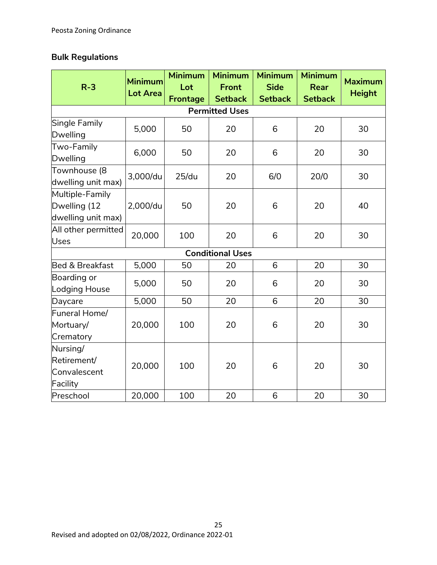# **Bulk Regulations**

| $R-3$                                                 | <b>Minimum</b><br><b>Lot Area</b> | <b>Minimum</b><br>Lot<br><b>Frontage</b> | <b>Minimum</b><br><b>Front</b><br><b>Setback</b> | <b>Minimum</b><br><b>Side</b><br><b>Setback</b> | <b>Minimum</b><br><b>Rear</b><br><b>Setback</b> | <b>Maximum</b><br><b>Height</b> |
|-------------------------------------------------------|-----------------------------------|------------------------------------------|--------------------------------------------------|-------------------------------------------------|-------------------------------------------------|---------------------------------|
|                                                       |                                   |                                          | <b>Permitted Uses</b>                            |                                                 |                                                 |                                 |
| Single Family<br>Dwelling                             | 5,000                             | 50                                       | 20                                               | 6                                               | 20                                              | 30                              |
| Two-Family<br>Dwelling                                | 6,000                             | 50                                       | 20                                               | 6                                               | 20                                              | 30                              |
| Townhouse (8<br>dwelling unit max)                    | 3,000/du                          | 25/du                                    | 20                                               | 6/0                                             | 20/0                                            | 30                              |
| Multiple-Family<br>Dwelling (12<br>dwelling unit max) | 2,000/du                          | 50                                       | 20                                               | 6                                               | 20                                              | 40                              |
| All other permitted<br>Uses                           | 20,000                            | 100                                      | 20                                               | 6                                               | 20                                              | 30                              |
|                                                       |                                   |                                          | <b>Conditional Uses</b>                          |                                                 |                                                 |                                 |
| Bed & Breakfast                                       | 5,000                             | 50                                       | 20                                               | 6                                               | 20                                              | 30                              |
| Boarding or<br>Lodging House                          | 5,000                             | 50                                       | 20                                               | 6                                               | 20                                              | 30                              |
| Daycare                                               | 5,000                             | 50                                       | 20                                               | 6                                               | 20                                              | 30                              |
| Funeral Home/<br>Mortuary/<br>Crematory               | 20,000                            | 100                                      | 20                                               | 6                                               | 20                                              | 30                              |
| Nursing/<br>Retirement/<br>Convalescent<br>Facility   | 20,000                            | 100                                      | 20                                               | 6                                               | 20                                              | 30                              |
| Preschool                                             | 20,000                            | 100                                      | 20                                               | 6                                               | 20                                              | 30                              |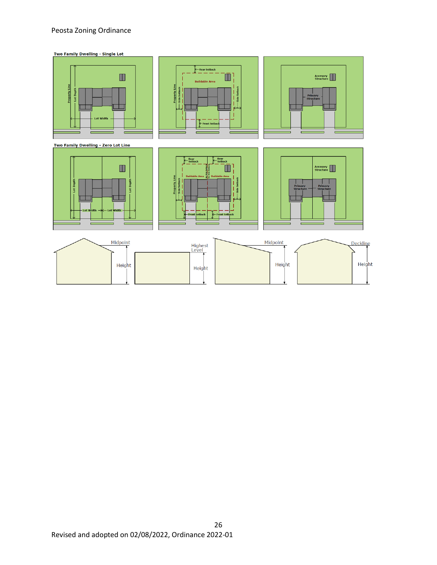#### Peosta Zoning Ordinance

Two Family Dwelling - Single Lot

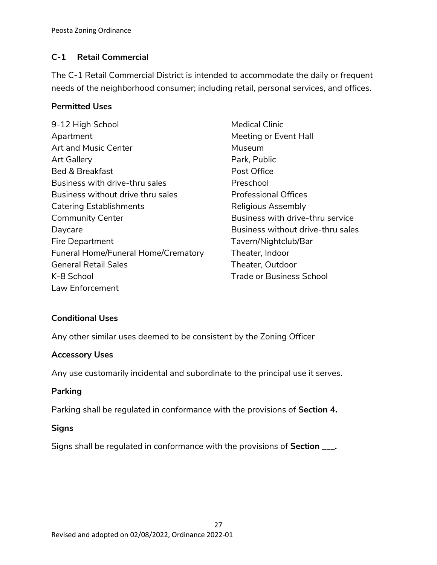# **C-1 Retail Commercial**

The C-1 Retail Commercial District is intended to accommodate the daily or frequent needs of the neighborhood consumer; including retail, personal services, and offices.

### **Permitted Uses**

| 9-12 High School                    | Medical Clinic                    |
|-------------------------------------|-----------------------------------|
| Apartment                           | Meeting or Event Hall             |
| Art and Music Center                | Museum                            |
| <b>Art Gallery</b>                  | Park, Public                      |
| <b>Bed &amp; Breakfast</b>          | Post Office                       |
| Business with drive-thru sales      | Preschool                         |
| Business without drive thru sales   | <b>Professional Offices</b>       |
| <b>Catering Establishments</b>      | Religious Assembly                |
| <b>Community Center</b>             | Business with drive-thru service  |
| Daycare                             | Business without drive-thru sales |
| Fire Department                     | Tavern/Nightclub/Bar              |
| Funeral Home/Funeral Home/Crematory | Theater, Indoor                   |
| <b>General Retail Sales</b>         | Theater, Outdoor                  |
| K-8 School                          | <b>Trade or Business School</b>   |
| Law Enforcement                     |                                   |

# **Conditional Uses**

Any other similar uses deemed to be consistent by the Zoning Officer

### **Accessory Uses**

Any use customarily incidental and subordinate to the principal use it serves.

### **Parking**

Parking shall be regulated in conformance with the provisions of **Section 4.**

### **Signs**

Signs shall be regulated in conformance with the provisions of **Section \_\_\_.**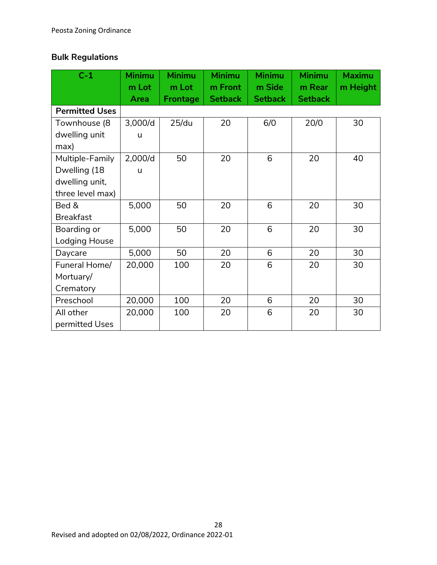# **Bulk Regulations**

| $C-1$                 | <b>Minimu</b><br>m Lot | <b>Minimu</b><br>m Lot | <b>Minimu</b><br>m Front | <b>Minimu</b><br>m Side | <b>Minimu</b><br>m Rear | <b>Maximu</b><br>m Height |
|-----------------------|------------------------|------------------------|--------------------------|-------------------------|-------------------------|---------------------------|
|                       | Area                   | <b>Frontage</b>        | <b>Setback</b>           | <b>Setback</b>          | <b>Setback</b>          |                           |
| <b>Permitted Uses</b> |                        |                        |                          |                         |                         |                           |
| Townhouse (8          | 3,000/d                | 25/du                  | 20                       | 6/0                     | 20/0                    | 30                        |
| dwelling unit         | u                      |                        |                          |                         |                         |                           |
| max)                  |                        |                        |                          |                         |                         |                           |
| Multiple-Family       | 2,000/d                | 50                     | 20                       | 6                       | 20                      | 40                        |
| Dwelling (18          | u                      |                        |                          |                         |                         |                           |
| dwelling unit,        |                        |                        |                          |                         |                         |                           |
| three level max)      |                        |                        |                          |                         |                         |                           |
| Bed &                 | 5,000                  | 50                     | 20                       | 6                       | 20                      | 30                        |
| <b>Breakfast</b>      |                        |                        |                          |                         |                         |                           |
| Boarding or           | 5,000                  | 50                     | 20                       | 6                       | 20                      | 30                        |
| Lodging House         |                        |                        |                          |                         |                         |                           |
| Daycare               | 5,000                  | 50                     | 20                       | 6                       | 20                      | 30                        |
| Funeral Home/         | 20,000                 | 100                    | 20                       | 6                       | 20                      | 30                        |
| Mortuary/             |                        |                        |                          |                         |                         |                           |
| Crematory             |                        |                        |                          |                         |                         |                           |
| Preschool             | 20,000                 | 100                    | 20                       | 6                       | 20                      | 30                        |
| All other             | 20,000                 | 100                    | 20                       | 6                       | 20                      | 30                        |
| permitted Uses        |                        |                        |                          |                         |                         |                           |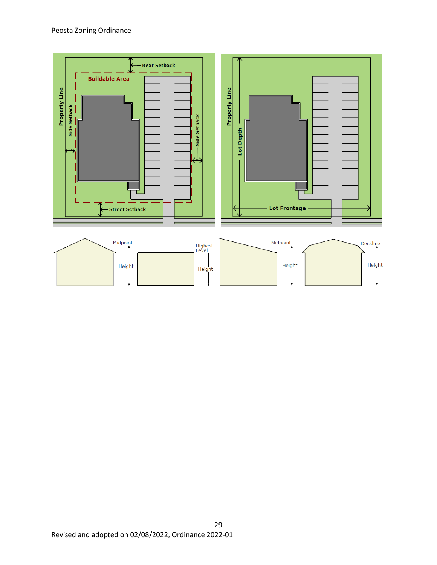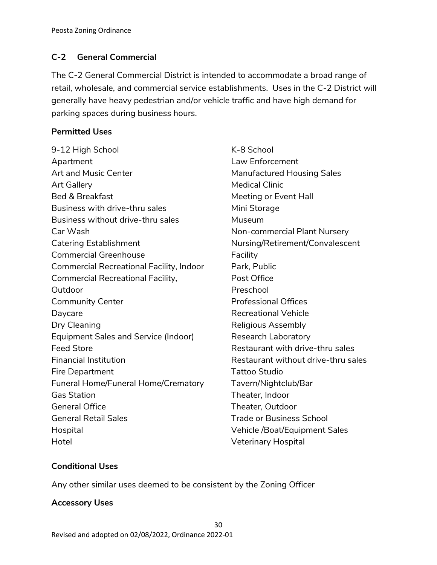# **C-2 General Commercial**

The C-2 General Commercial District is intended to accommodate a broad range of retail, wholesale, and commercial service establishments. Uses in the C-2 District will generally have heavy pedestrian and/or vehicle traffic and have high demand for parking spaces during business hours.

# **Permitted Uses**

| 9-12 High School                            | K-8 School            |
|---------------------------------------------|-----------------------|
| Apartment                                   | Law Enforcem          |
| Art and Music Center                        | Manufactured          |
| Art Gallery                                 | <b>Medical Clinic</b> |
| <b>Bed &amp; Breakfast</b>                  | Meeting or Eve        |
| Business with drive-thru sales              | Mini Storage          |
| Business without drive-thru sales           | Museum                |
| Car Wash                                    | Non-commerc           |
| <b>Catering Establishment</b>               | Nursing/Retire        |
| <b>Commercial Greenhouse</b>                | Facility              |
| Commercial Recreational Facility, Indoor    | Park, Public          |
| Commercial Recreational Facility,           | Post Office           |
| Outdoor                                     | Preschool             |
| <b>Community Center</b>                     | Professional C        |
| Daycare                                     | Recreational V        |
| Dry Cleaning                                | Religious Asse        |
| <b>Equipment Sales and Service (Indoor)</b> | Research Labo         |
| <b>Feed Store</b>                           | Restaurant wi         |
| <b>Financial Institution</b>                | Restaurant wi         |
| <b>Fire Department</b>                      | Tattoo Studio         |
| Funeral Home/Funeral Home/Crematory         | Tavern/Nightc         |
| <b>Gas Station</b>                          | Theater, Indoc        |
| <b>General Office</b>                       | Theater, Outd         |
| <b>General Retail Sales</b>                 | <b>Trade or Busir</b> |
| Hospital                                    | Vehicle /Boat/        |
| Hotel                                       | Veterinary Ho:        |

lent Housing Sales ent Hall ial Plant Nursery ement/Convalescent )ffices /ehicle embly oratory th drive-thru sales thout drive-thru sales :lub/Bar Theater, Indoor oor ness School **Equipment Sales** spital

# **Conditional Uses**

Any other similar uses deemed to be consistent by the Zoning Officer

# **Accessory Uses**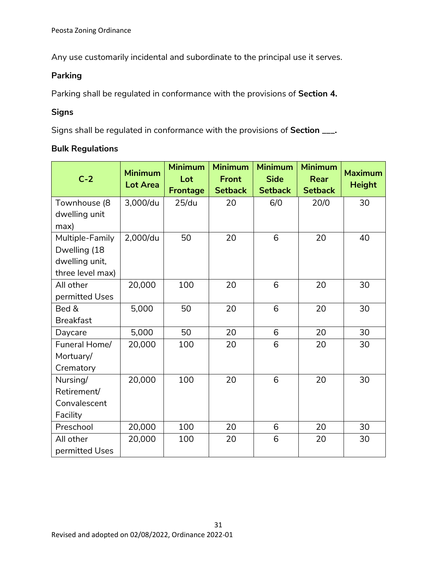Any use customarily incidental and subordinate to the principal use it serves.

# **Parking**

Parking shall be regulated in conformance with the provisions of **Section 4.**

# **Signs**

Signs shall be regulated in conformance with the provisions of **Section \_\_\_.**

### **Bulk Regulations**

| $C-2$            | <b>Minimum</b>  | <b>Minimum</b><br>Lot | <b>Minimum</b><br><b>Front</b> | <b>Minimum</b><br><b>Side</b> | <b>Minimum</b><br><b>Rear</b> | <b>Maximum</b> |
|------------------|-----------------|-----------------------|--------------------------------|-------------------------------|-------------------------------|----------------|
|                  | <b>Lot Area</b> | <b>Frontage</b>       | <b>Setback</b>                 | <b>Setback</b>                | <b>Setback</b>                | <b>Height</b>  |
| Townhouse (8     | 3,000/du        | 25/du                 | 20                             | 6/0                           | 20/0                          | 30             |
| dwelling unit    |                 |                       |                                |                               |                               |                |
| max)             |                 |                       |                                |                               |                               |                |
| Multiple-Family  | 2,000/du        | 50                    | 20                             | 6                             | 20                            | 40             |
| Dwelling (18     |                 |                       |                                |                               |                               |                |
| dwelling unit,   |                 |                       |                                |                               |                               |                |
| three level max) |                 |                       |                                |                               |                               |                |
| All other        | 20,000          | 100                   | 20                             | 6                             | 20                            | 30             |
| permitted Uses   |                 |                       |                                |                               |                               |                |
| Bed &            | 5,000           | 50                    | 20                             | 6                             | 20                            | 30             |
| <b>Breakfast</b> |                 |                       |                                |                               |                               |                |
| Daycare          | 5,000           | 50                    | 20                             | 6                             | 20                            | 30             |
| Funeral Home/    | 20,000          | 100                   | 20                             | 6                             | 20                            | 30             |
| Mortuary/        |                 |                       |                                |                               |                               |                |
| Crematory        |                 |                       |                                |                               |                               |                |
| Nursing/         | 20,000          | 100                   | 20                             | 6                             | 20                            | 30             |
| Retirement/      |                 |                       |                                |                               |                               |                |
| Convalescent     |                 |                       |                                |                               |                               |                |
| Facility         |                 |                       |                                |                               |                               |                |
| Preschool        | 20,000          | 100                   | 20                             | 6                             | 20                            | 30             |
| All other        | 20,000          | 100                   | 20                             | 6                             | 20                            | 30             |
| permitted Uses   |                 |                       |                                |                               |                               |                |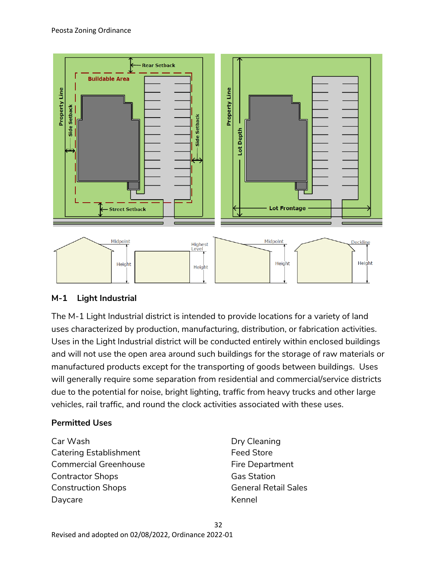

# **M-1 Light Industrial**

The M-1 Light Industrial district is intended to provide locations for a variety of land uses characterized by production, manufacturing, distribution, or fabrication activities. Uses in the Light Industrial district will be conducted entirely within enclosed buildings and will not use the open area around such buildings for the storage of raw materials or manufactured products except for the transporting of goods between buildings. Uses will generally require some separation from residential and commercial/service districts due to the potential for noise, bright lighting, traffic from heavy trucks and other large vehicles, rail traffic, and round the clock activities associated with these uses.

### **Permitted Uses**

Car Wash Catering Establishment Commercial Greenhouse Contractor Shops Construction Shops Daycare

Dry Cleaning Feed Store Fire Department Gas Station General Retail Sales Kennel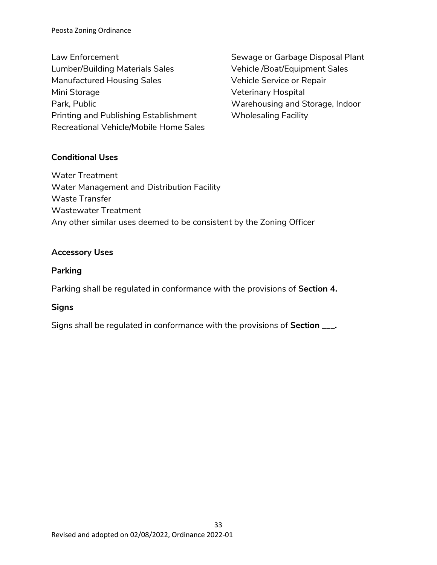Peosta Zoning Ordinance

Law Enforcement Lumber/Building Materials Sales Manufactured Housing Sales Mini Storage Park, Public Printing and Publishing Establishment Recreational Vehicle/Mobile Home Sales

Sewage or Garbage Disposal Plant Vehicle /Boat/Equipment Sales Vehicle Service or Repair Veterinary Hospital Warehousing and Storage, Indoor Wholesaling Facility

# **Conditional Uses**

Water Treatment Water Management and Distribution Facility Waste Transfer Wastewater Treatment Any other similar uses deemed to be consistent by the Zoning Officer

### **Accessory Uses**

### **Parking**

Parking shall be regulated in conformance with the provisions of **Section 4.**

# **Signs**

Signs shall be regulated in conformance with the provisions of **Section \_\_\_.**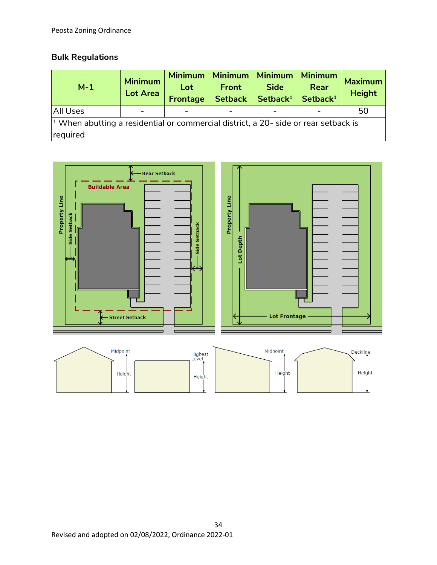# **Bulk Regulations**

| $M-1$                                                                                                  | <b>Minimum</b><br><b>Lot Area</b> | <b>Minimum</b><br>Lot<br><b>Frontage</b> | <b>Minimum</b><br><b>Front</b><br><b>Setback</b> | <b>Minimum</b><br><b>Side</b><br>Setback <sup>1</sup> | <b>Minimum</b><br>Rear<br>Setback <sup>1</sup> | <b>Maximum</b><br><b>Height</b> |
|--------------------------------------------------------------------------------------------------------|-----------------------------------|------------------------------------------|--------------------------------------------------|-------------------------------------------------------|------------------------------------------------|---------------------------------|
| All Uses                                                                                               |                                   |                                          |                                                  |                                                       |                                                | 50                              |
| $\vert$ <sup>1</sup> When abutting a residential or commercial district, a 20- side or rear setback is |                                   |                                          |                                                  |                                                       |                                                |                                 |
| required                                                                                               |                                   |                                          |                                                  |                                                       |                                                |                                 |

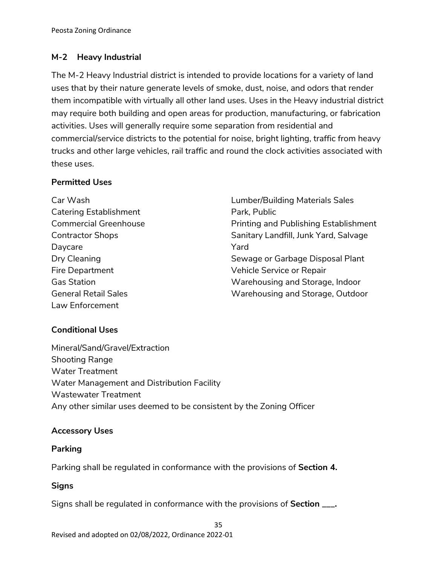# **M-2 Heavy Industrial**

The M-2 Heavy Industrial district is intended to provide locations for a variety of land uses that by their nature generate levels of smoke, dust, noise, and odors that render them incompatible with virtually all other land uses. Uses in the Heavy industrial district may require both building and open areas for production, manufacturing, or fabrication activities. Uses will generally require some separation from residential and commercial/service districts to the potential for noise, bright lighting, traffic from heavy trucks and other large vehicles, rail traffic and round the clock activities associated with these uses.

# **Permitted Uses**

| Car Wash                      | <b>Lumber/Building Materials Sales</b>       |
|-------------------------------|----------------------------------------------|
| <b>Catering Establishment</b> | Park, Public                                 |
| <b>Commercial Greenhouse</b>  | <b>Printing and Publishing Establishment</b> |
| <b>Contractor Shops</b>       | Sanitary Landfill, Junk Yard, Salvage        |
| Daycare                       | Yard                                         |
| Dry Cleaning                  | Sewage or Garbage Disposal Plant             |
| Fire Department               | Vehicle Service or Repair                    |
| <b>Gas Station</b>            | Warehousing and Storage, Indoor              |
| <b>General Retail Sales</b>   | Warehousing and Storage, Outdoor             |
| Law Enforcement               |                                              |

# **Conditional Uses**

Mineral/Sand/Gravel/Extraction Shooting Range Water Treatment Water Management and Distribution Facility Wastewater Treatment Any other similar uses deemed to be consistent by the Zoning Officer

# **Accessory Uses**

# **Parking**

Parking shall be regulated in conformance with the provisions of **Section 4.**

# **Signs**

Signs shall be regulated in conformance with the provisions of **Section \_\_\_.**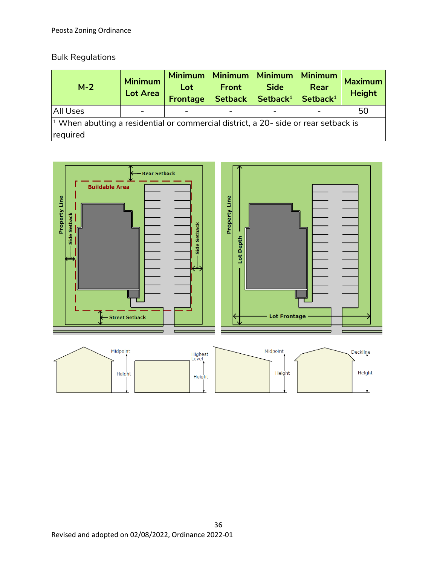# Bulk Regulations

| $M-2$                                                                                                  | <b>Minimum</b><br><b>Lot Area</b> | <b>Minimum</b><br>Lot<br><b>Frontage</b> | <b>Minimum</b><br><b>Front</b><br><b>Setback</b> | <b>Minimum</b><br><b>Side</b><br>Setback <sup>1</sup> | <b>Minimum</b><br>Rear<br>Setback <sup>1</sup> | <b>Maximum</b><br><b>Height</b> |
|--------------------------------------------------------------------------------------------------------|-----------------------------------|------------------------------------------|--------------------------------------------------|-------------------------------------------------------|------------------------------------------------|---------------------------------|
| All Uses                                                                                               |                                   |                                          |                                                  |                                                       |                                                | 50                              |
| $\vert$ <sup>1</sup> When abutting a residential or commercial district, a 20- side or rear setback is |                                   |                                          |                                                  |                                                       |                                                |                                 |
| required                                                                                               |                                   |                                          |                                                  |                                                       |                                                |                                 |

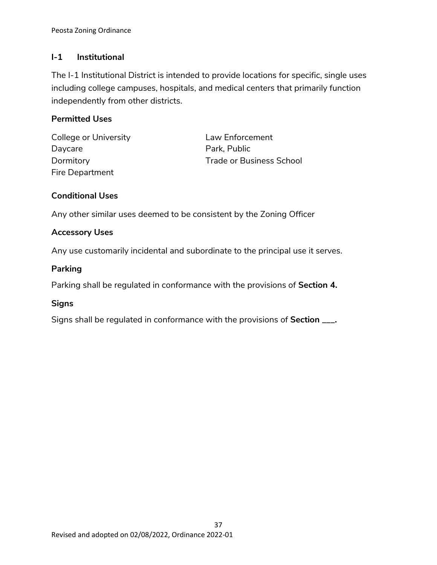## **I-1 Institutional**

The I-1 Institutional District is intended to provide locations for specific, single uses including college campuses, hospitals, and medical centers that primarily function independently from other districts.

## **Permitted Uses**

College or University **Law Enforcement** Daycare **Park**, Public Fire Department

Dormitory **Domitory Trade or Business School** 

## **Conditional Uses**

Any other similar uses deemed to be consistent by the Zoning Officer

## **Accessory Uses**

Any use customarily incidental and subordinate to the principal use it serves.

#### **Parking**

Parking shall be regulated in conformance with the provisions of **Section 4.**

#### **Signs**

Signs shall be regulated in conformance with the provisions of **Section \_\_\_.**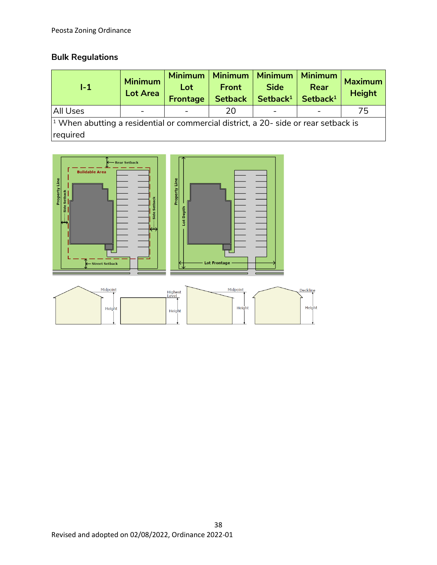# **Bulk Regulations**

| $1-1$                                                                                                  | <b>Minimum</b><br><b>Lot Area</b> | <b>Minimum</b><br>Lot<br><b>Frontage</b> | Minimum   Minimum<br><b>Front</b><br><b>Setback</b> | <b>Side</b><br>Setback <sup>1</sup> | <b>Minimum</b><br>Rear<br>Setback <sup>1</sup> | <b>Maximum</b><br><b>Height</b> |
|--------------------------------------------------------------------------------------------------------|-----------------------------------|------------------------------------------|-----------------------------------------------------|-------------------------------------|------------------------------------------------|---------------------------------|
| <b>All Uses</b>                                                                                        |                                   |                                          | 20                                                  |                                     |                                                | 75                              |
| $\vert$ <sup>1</sup> When abutting a residential or commercial district, a 20- side or rear setback is |                                   |                                          |                                                     |                                     |                                                |                                 |
| required                                                                                               |                                   |                                          |                                                     |                                     |                                                |                                 |



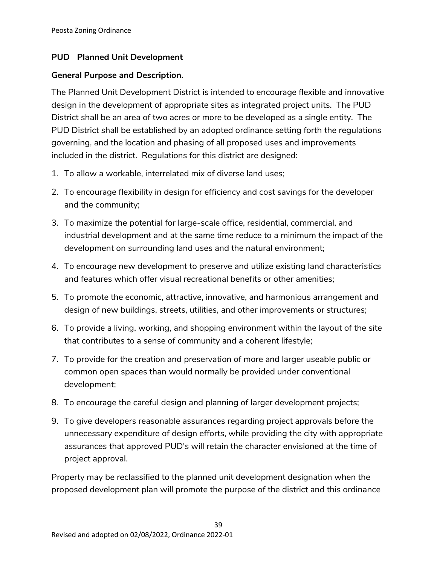## **PUD Planned Unit Development**

#### **General Purpose and Description.**

The Planned Unit Development District is intended to encourage flexible and innovative design in the development of appropriate sites as integrated project units. The PUD District shall be an area of two acres or more to be developed as a single entity. The PUD District shall be established by an adopted ordinance setting forth the regulations governing, and the location and phasing of all proposed uses and improvements included in the district. Regulations for this district are designed:

- 1. To allow a workable, interrelated mix of diverse land uses;
- 2. To encourage flexibility in design for efficiency and cost savings for the developer and the community;
- 3. To maximize the potential for large-scale office, residential, commercial, and industrial development and at the same time reduce to a minimum the impact of the development on surrounding land uses and the natural environment;
- 4. To encourage new development to preserve and utilize existing land characteristics and features which offer visual recreational benefits or other amenities;
- 5. To promote the economic, attractive, innovative, and harmonious arrangement and design of new buildings, streets, utilities, and other improvements or structures;
- 6. To provide a living, working, and shopping environment within the layout of the site that contributes to a sense of community and a coherent lifestyle;
- 7. To provide for the creation and preservation of more and larger useable public or common open spaces than would normally be provided under conventional development;
- 8. To encourage the careful design and planning of larger development projects;
- 9. To give developers reasonable assurances regarding project approvals before the unnecessary expenditure of design efforts, while providing the city with appropriate assurances that approved PUD's will retain the character envisioned at the time of project approval.

Property may be reclassified to the planned unit development designation when the proposed development plan will promote the purpose of the district and this ordinance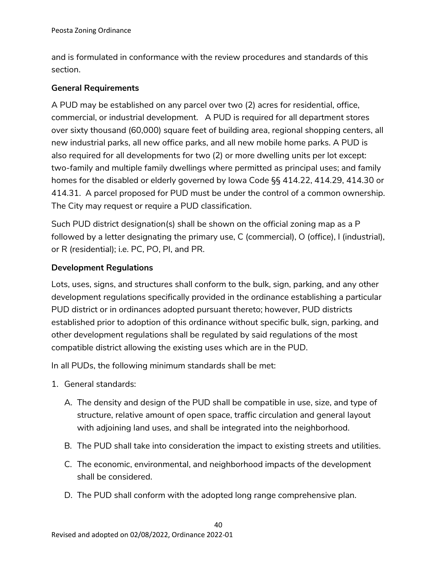and is formulated in conformance with the review procedures and standards of this section.

## **General Requirements**

A PUD may be established on any parcel over two (2) acres for residential, office, commercial, or industrial development. A PUD is required for all department stores over sixty thousand (60,000) square feet of building area, regional shopping centers, all new industrial parks, all new office parks, and all new mobile home parks. A PUD is also required for all developments for two (2) or more dwelling units per lot except: two-family and multiple family dwellings where permitted as principal uses; and family homes for the disabled or elderly governed by Iowa Code §§ 414.22, 414.29, 414.30 or 414.31. A parcel proposed for PUD must be under the control of a common ownership. The City may request or require a PUD classification.

Such PUD district designation(s) shall be shown on the official zoning map as a P followed by a letter designating the primary use, C (commercial), O (office), I (industrial), or R (residential); i.e. PC, PO, PI, and PR.

## **Development Regulations**

Lots, uses, signs, and structures shall conform to the bulk, sign, parking, and any other development regulations specifically provided in the ordinance establishing a particular PUD district or in ordinances adopted pursuant thereto; however, PUD districts established prior to adoption of this ordinance without specific bulk, sign, parking, and other development regulations shall be regulated by said regulations of the most compatible district allowing the existing uses which are in the PUD.

In all PUDs, the following minimum standards shall be met:

- 1. General standards:
	- A. The density and design of the PUD shall be compatible in use, size, and type of structure, relative amount of open space, traffic circulation and general layout with adjoining land uses, and shall be integrated into the neighborhood.
	- B. The PUD shall take into consideration the impact to existing streets and utilities.
	- C. The economic, environmental, and neighborhood impacts of the development shall be considered.
	- D. The PUD shall conform with the adopted long range comprehensive plan.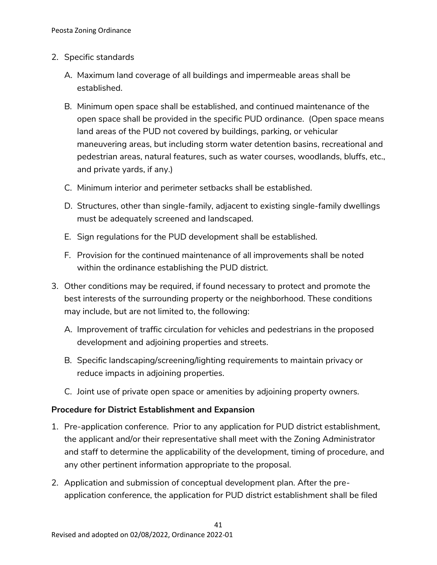#### 2. Specific standards

- A. Maximum land coverage of all buildings and impermeable areas shall be established.
- B. Minimum open space shall be established, and continued maintenance of the open space shall be provided in the specific PUD ordinance. (Open space means land areas of the PUD not covered by buildings, parking, or vehicular maneuvering areas, but including storm water detention basins, recreational and pedestrian areas, natural features, such as water courses, woodlands, bluffs, etc., and private yards, if any.)
- C. Minimum interior and perimeter setbacks shall be established.
- D. Structures, other than single-family, adjacent to existing single-family dwellings must be adequately screened and landscaped.
- E. Sign regulations for the PUD development shall be established.
- F. Provision for the continued maintenance of all improvements shall be noted within the ordinance establishing the PUD district.
- 3. Other conditions may be required, if found necessary to protect and promote the best interests of the surrounding property or the neighborhood. These conditions may include, but are not limited to, the following:
	- A. Improvement of traffic circulation for vehicles and pedestrians in the proposed development and adjoining properties and streets.
	- B. Specific landscaping/screening/lighting requirements to maintain privacy or reduce impacts in adjoining properties.
	- C. Joint use of private open space or amenities by adjoining property owners.

#### **Procedure for District Establishment and Expansion**

- 1. Pre-application conference. Prior to any application for PUD district establishment, the applicant and/or their representative shall meet with the Zoning Administrator and staff to determine the applicability of the development, timing of procedure, and any other pertinent information appropriate to the proposal.
- 2. Application and submission of conceptual development plan. After the preapplication conference, the application for PUD district establishment shall be filed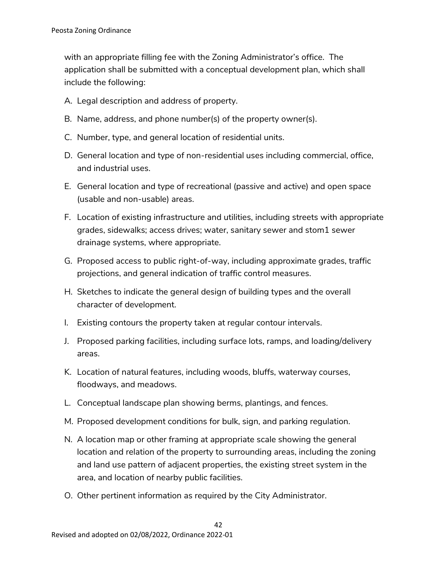with an appropriate filling fee with the Zoning Administrator's office. The application shall be submitted with a conceptual development plan, which shall include the following:

- A. Legal description and address of property.
- B. Name, address, and phone number(s) of the property owner(s).
- C. Number, type, and general location of residential units.
- D. General location and type of non-residential uses including commercial, office, and industrial uses.
- E. General location and type of recreational (passive and active) and open space (usable and non-usable) areas.
- F. Location of existing infrastructure and utilities, including streets with appropriate grades, sidewalks; access drives; water, sanitary sewer and stom1 sewer drainage systems, where appropriate.
- G. Proposed access to public right-of-way, including approximate grades, traffic projections, and general indication of traffic control measures.
- H. Sketches to indicate the general design of building types and the overall character of development.
- I. Existing contours the property taken at regular contour intervals.
- J. Proposed parking facilities, including surface lots, ramps, and loading/delivery areas.
- K. Location of natural features, including woods, bluffs, waterway courses, floodways, and meadows.
- L. Conceptual landscape plan showing berms, plantings, and fences.
- M. Proposed development conditions for bulk, sign, and parking regulation.
- N. A location map or other framing at appropriate scale showing the general location and relation of the property to surrounding areas, including the zoning and land use pattern of adjacent properties, the existing street system in the area, and location of nearby public facilities.
- O. Other pertinent information as required by the City Administrator.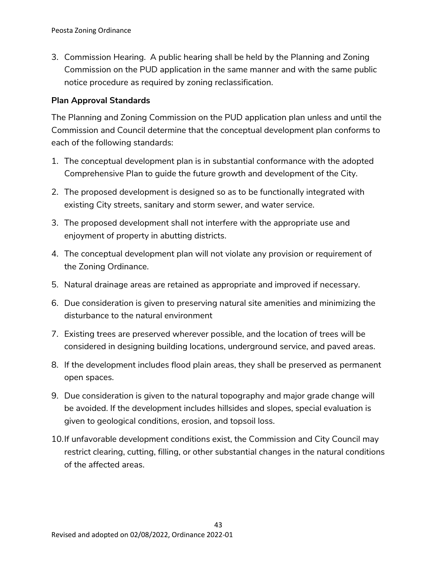3. Commission Hearing. A public hearing shall be held by the Planning and Zoning Commission on the PUD application in the same manner and with the same public notice procedure as required by zoning reclassification.

#### **Plan Approval Standards**

The Planning and Zoning Commission on the PUD application plan unless and until the Commission and Council determine that the conceptual development plan conforms to each of the following standards:

- 1. The conceptual development plan is in substantial conformance with the adopted Comprehensive Plan to guide the future growth and development of the City.
- 2. The proposed development is designed so as to be functionally integrated with existing City streets, sanitary and storm sewer, and water service.
- 3. The proposed development shall not interfere with the appropriate use and enjoyment of property in abutting districts.
- 4. The conceptual development plan will not violate any provision or requirement of the Zoning Ordinance.
- 5. Natural drainage areas are retained as appropriate and improved if necessary.
- 6. Due consideration is given to preserving natural site amenities and minimizing the disturbance to the natural environment
- 7. Existing trees are preserved wherever possible, and the location of trees will be considered in designing building locations, underground service, and paved areas.
- 8. If the development includes flood plain areas, they shall be preserved as permanent open spaces.
- 9. Due consideration is given to the natural topography and major grade change will be avoided. If the development includes hillsides and slopes, special evaluation is given to geological conditions, erosion, and topsoil loss.
- 10.If unfavorable development conditions exist, the Commission and City Council may restrict clearing, cutting, filling, or other substantial changes in the natural conditions of the affected areas.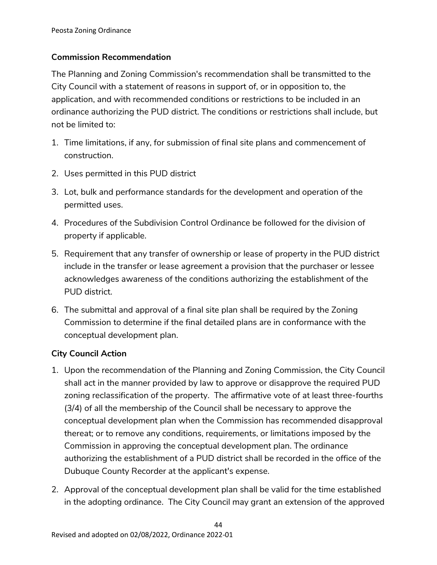## **Commission Recommendation**

The Planning and Zoning Commission's recommendation shall be transmitted to the City Council with a statement of reasons in support of, or in opposition to, the application, and with recommended conditions or restrictions to be included in an ordinance authorizing the PUD district. The conditions or restrictions shall include, but not be limited to:

- 1. Time limitations, if any, for submission of final site plans and commencement of construction.
- 2. Uses permitted in this PUD district
- 3. Lot, bulk and performance standards for the development and operation of the permitted uses.
- 4. Procedures of the Subdivision Control Ordinance be followed for the division of property if applicable.
- 5. Requirement that any transfer of ownership or lease of property in the PUD district include in the transfer or lease agreement a provision that the purchaser or lessee acknowledges awareness of the conditions authorizing the establishment of the PUD district.
- 6. The submittal and approval of a final site plan shall be required by the Zoning Commission to determine if the final detailed plans are in conformance with the conceptual development plan.

## **City Council Action**

- 1. Upon the recommendation of the Planning and Zoning Commission, the City Council shall act in the manner provided by law to approve or disapprove the required PUD zoning reclassification of the property. The affirmative vote of at least three-fourths (3/4) of all the membership of the Council shall be necessary to approve the conceptual development plan when the Commission has recommended disapproval thereat; or to remove any conditions, requirements, or limitations imposed by the Commission in approving the conceptual development plan. The ordinance authorizing the establishment of a PUD district shall be recorded in the office of the Dubuque County Recorder at the applicant's expense.
- 2. Approval of the conceptual development plan shall be valid for the time established in the adopting ordinance. The City Council may grant an extension of the approved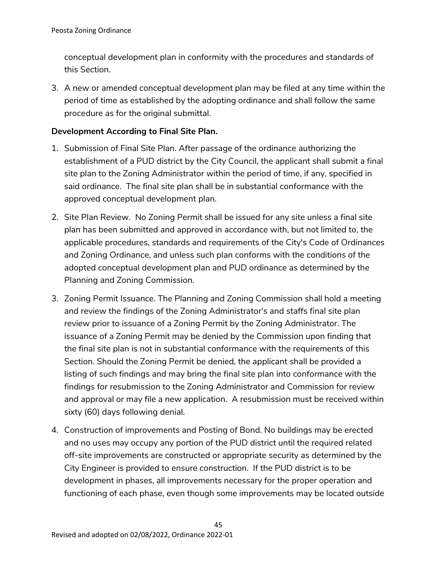conceptual development plan in conformity with the procedures and standards of this Section.

3. A new or amended conceptual development plan may be filed at any time within the period of time as established by the adopting ordinance and shall follow the same procedure as for the original submittal.

#### **Development According to Final Site Plan.**

- 1. Submission of Final Site Plan. After passage of the ordinance authorizing the establishment of a PUD district by the City Council, the applicant shall submit a final site plan to the Zoning Administrator within the period of time, if any, specified in said ordinance. The final site plan shall be in substantial conformance with the approved conceptual development plan.
- 2. Site Plan Review. No Zoning Permit shall be issued for any site unless a final site plan has been submitted and approved in accordance with, but not limited to, the applicable procedures, standards and requirements of the City's Code of Ordinances and Zoning Ordinance, and unless such plan conforms with the conditions of the adopted conceptual development plan and PUD ordinance as determined by the Planning and Zoning Commission.
- 3. Zoning Permit Issuance. The Planning and Zoning Commission shall hold a meeting and review the findings of the Zoning Administrator's and staffs final site plan review prior to issuance of a Zoning Permit by the Zoning Administrator. The issuance of a Zoning Permit may be denied by the Commission upon finding that the final site plan is not in substantial conformance with the requirements of this Section. Should the Zoning Permit be denied, the applicant shall be provided a listing of such findings and may bring the final site plan into conformance with the findings for resubmission to the Zoning Administrator and Commission for review and approval or may file a new application. A resubmission must be received within sixty (60) days following denial.
- 4. Construction of improvements and Posting of Bond. No buildings may be erected and no uses may occupy any portion of the PUD district until the required related off-site improvements are constructed or appropriate security as determined by the City Engineer is provided to ensure construction. If the PUD district is to be development in phases, all improvements necessary for the proper operation and functioning of each phase, even though some improvements may be located outside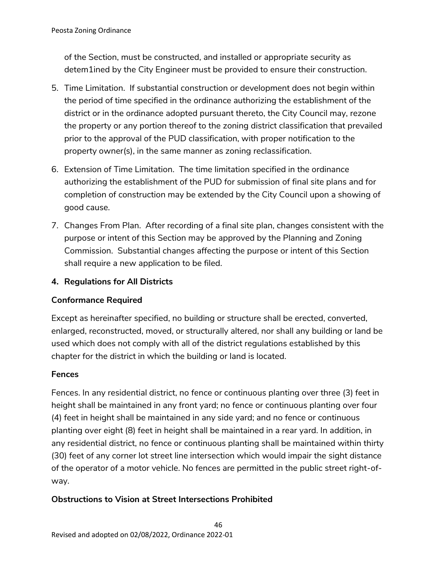of the Section, must be constructed, and installed or appropriate security as detem1ined by the City Engineer must be provided to ensure their construction.

- 5. Time Limitation. If substantial construction or development does not begin within the period of time specified in the ordinance authorizing the establishment of the district or in the ordinance adopted pursuant thereto, the City Council may, rezone the property or any portion thereof to the zoning district classification that prevailed prior to the approval of the PUD classification, with proper notification to the property owner(s), in the same manner as zoning reclassification.
- 6. Extension of Time Limitation. The time limitation specified in the ordinance authorizing the establishment of the PUD for submission of final site plans and for completion of construction may be extended by the City Council upon a showing of good cause.
- 7. Changes From Plan. After recording of a final site plan, changes consistent with the purpose or intent of this Section may be approved by the Planning and Zoning Commission. Substantial changes affecting the purpose or intent of this Section shall require a new application to be filed.

# **4. Regulations for All Districts**

# **Conformance Required**

Except as hereinafter specified, no building or structure shall be erected, converted, enlarged, reconstructed, moved, or structurally altered, nor shall any building or land be used which does not comply with all of the district regulations established by this chapter for the district in which the building or land is located.

## **Fences**

Fences. In any residential district, no fence or continuous planting over three (3) feet in height shall be maintained in any front yard; no fence or continuous planting over four (4) feet in height shall be maintained in any side yard; and no fence or continuous planting over eight (8) feet in height shall be maintained in a rear yard. In addition, in any residential district, no fence or continuous planting shall be maintained within thirty (30) feet of any corner lot street line intersection which would impair the sight distance of the operator of a motor vehicle. No fences are permitted in the public street right-ofway.

# **Obstructions to Vision at Street Intersections Prohibited**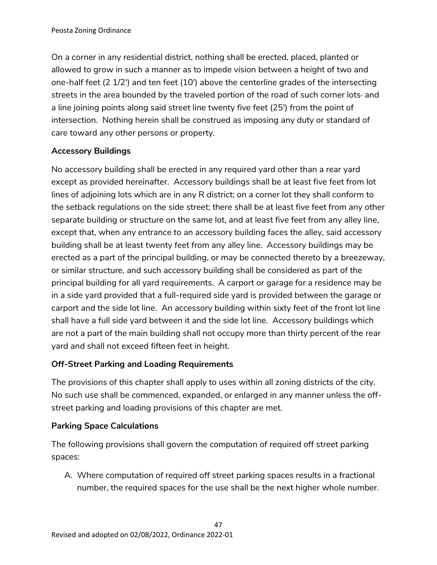On a corner in any residential district, nothing shall be erected, placed, planted or allowed to grow in such a manner as to impede vision between a height of two and one-half feet (2 1/2') and ten feet (10') above the centerline grades of the intersecting streets in the area bounded by the traveled portion of the road of such corner lots· and a line joining points along said street line twenty five feet (25') from the point of intersection. Nothing herein shall be construed as imposing any duty or standard of care toward any other persons or property.

# **Accessory Buildings**

No accessory building shall be erected in any required yard other than a rear yard except as provided hereinafter. Accessory buildings shall be at least five feet from lot lines of adjoining lots which are in any R district; on a corner lot they shall conform to the setback regulations on the side street; there shall be at least five feet from any other separate building or structure on the same lot, and at least five feet from any alley line, except that, when any entrance to an accessory building faces the alley, said accessory building shall be at least twenty feet from any alley line. Accessory buildings may be erected as a part of the principal building, or may be connected thereto by a breezeway, or similar structure, and such accessory building shall be considered as part of the principal building for all yard requirements. A carport or garage for a residence may be in a side yard provided that a full-required side yard is provided between the garage or carport and the side lot line. An accessory building within sixty feet of the front lot line shall have a full side yard between it and the side lot line. Accessory buildings which are not a part of the main building shall not occupy more than thirty percent of the rear yard and shall not exceed fifteen feet in height.

# **Off-Street Parking and Loading Requirements**

The provisions of this chapter shall apply to uses within all zoning districts of the city. No such use shall be commenced, expanded, or enlarged in any manner unless the offstreet parking and loading provisions of this chapter are met.

## **Parking Space Calculations**

The following provisions shall govern the computation of required off street parking spaces:

A. Where computation of required off street parking spaces results in a fractional number, the required spaces for the use shall be the next higher whole number.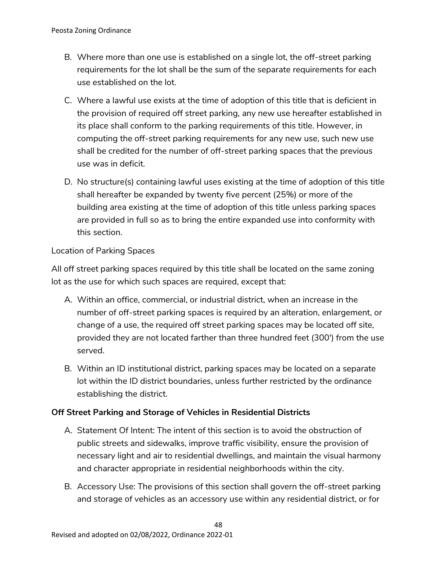- B. Where more than one use is established on a single lot, the off-street parking requirements for the lot shall be the sum of the separate requirements for each use established on the lot.
- C. Where a lawful use exists at the time of adoption of this title that is deficient in the provision of required off street parking, any new use hereafter established in its place shall conform to the parking requirements of this title. However, in computing the off-street parking requirements for any new use, such new use shall be credited for the number of off-street parking spaces that the previous use was in deficit.
- D. No structure(s) containing lawful uses existing at the time of adoption of this title shall hereafter be expanded by twenty five percent (25%) or more of the building area existing at the time of adoption of this title unless parking spaces are provided in full so as to bring the entire expanded use into conformity with this section.

## Location of Parking Spaces

All off street parking spaces required by this title shall be located on the same zoning lot as the use for which such spaces are required, except that:

- A. Within an office, commercial, or industrial district, when an increase in the number of off-street parking spaces is required by an alteration, enlargement, or change of a use, the required off street parking spaces may be located off site, provided they are not located farther than three hundred feet (300') from the use served.
- B. Within an ID institutional district, parking spaces may be located on a separate lot within the ID district boundaries, unless further restricted by the ordinance establishing the district.

## **Off Street Parking and Storage of Vehicles in Residential Districts**

- A. Statement Of Intent: The intent of this section is to avoid the obstruction of public streets and sidewalks, improve traffic visibility, ensure the provision of necessary light and air to residential dwellings, and maintain the visual harmony and character appropriate in residential neighborhoods within the city.
- B. Accessory Use: The provisions of this section shall govern the off-street parking and storage of vehicles as an accessory use within any residential district, or for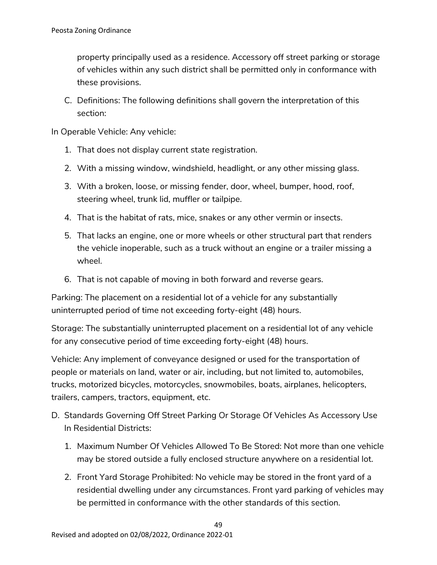property principally used as a residence. Accessory off street parking or storage of vehicles within any such district shall be permitted only in conformance with these provisions.

C. Definitions: The following definitions shall govern the interpretation of this section:

In Operable Vehicle: Any vehicle:

- 1. That does not display current state registration.
- 2. With a missing window, windshield, headlight, or any other missing glass.
- 3. With a broken, loose, or missing fender, door, wheel, bumper, hood, roof, steering wheel, trunk lid, muffler or tailpipe.
- 4. That is the habitat of rats, mice, snakes or any other vermin or insects.
- 5. That lacks an engine, one or more wheels or other structural part that renders the vehicle inoperable, such as a truck without an engine or a trailer missing a wheel.
- 6. That is not capable of moving in both forward and reverse gears.

Parking: The placement on a residential lot of a vehicle for any substantially uninterrupted period of time not exceeding forty-eight (48) hours.

Storage: The substantially uninterrupted placement on a residential lot of any vehicle for any consecutive period of time exceeding forty-eight (48) hours.

Vehicle: Any implement of conveyance designed or used for the transportation of people or materials on land, water or air, including, but not limited to, automobiles, trucks, motorized bicycles, motorcycles, snowmobiles, boats, airplanes, helicopters, trailers, campers, tractors, equipment, etc.

- D. Standards Governing Off Street Parking Or Storage Of Vehicles As Accessory Use In Residential Districts:
	- 1. Maximum Number Of Vehicles Allowed To Be Stored: Not more than one vehicle may be stored outside a fully enclosed structure anywhere on a residential lot.
	- 2. Front Yard Storage Prohibited: No vehicle may be stored in the front yard of a residential dwelling under any circumstances. Front yard parking of vehicles may be permitted in conformance with the other standards of this section.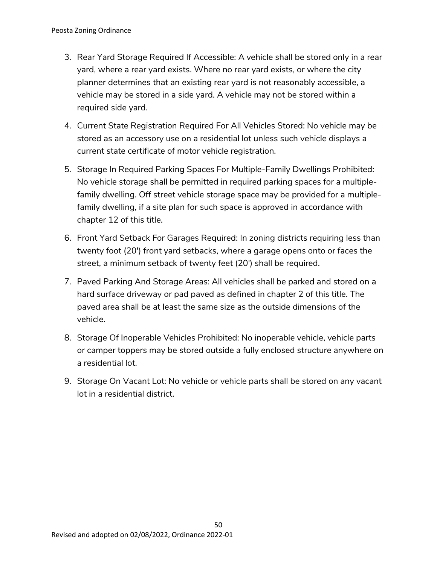- 3. Rear Yard Storage Required If Accessible: A vehicle shall be stored only in a rear yard, where a rear yard exists. Where no rear yard exists, or where the city planner determines that an existing rear yard is not reasonably accessible, a vehicle may be stored in a side yard. A vehicle may not be stored within a required side yard.
- 4. Current State Registration Required For All Vehicles Stored: No vehicle may be stored as an accessory use on a residential lot unless such vehicle displays a current state certificate of motor vehicle registration.
- 5. Storage In Required Parking Spaces For Multiple-Family Dwellings Prohibited: No vehicle storage shall be permitted in required parking spaces for a multiplefamily dwelling. Off street vehicle storage space may be provided for a multiplefamily dwelling, if a site plan for such space is approved in accordance with chapter 12 of this title.
- 6. Front Yard Setback For Garages Required: In zoning districts requiring less than twenty foot (20') front yard setbacks, where a garage opens onto or faces the street, a minimum setback of twenty feet (20') shall be required.
- 7. Paved Parking And Storage Areas: All vehicles shall be parked and stored on a hard surface driveway or pad paved as defined in chapter 2 of this title. The paved area shall be at least the same size as the outside dimensions of the vehicle.
- 8. Storage Of Inoperable Vehicles Prohibited: No inoperable vehicle, vehicle parts or camper toppers may be stored outside a fully enclosed structure anywhere on a residential lot.
- 9. Storage On Vacant Lot: No vehicle or vehicle parts shall be stored on any vacant lot in a residential district.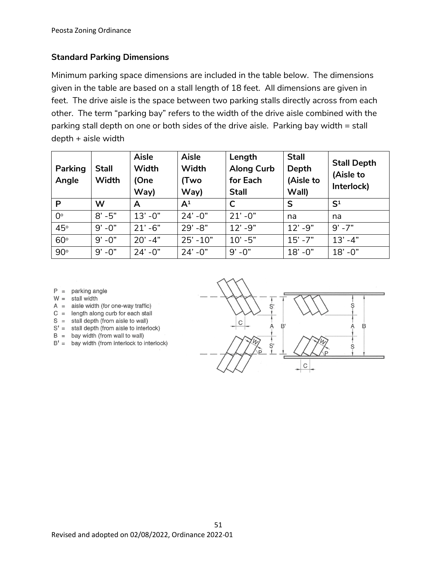## **Standard Parking Dimensions**

Minimum parking space dimensions are included in the table below. The dimensions given in the table are based on a stall length of 18 feet. All dimensions are given in feet. The drive aisle is the space between two parking stalls directly across from each other. The term "parking bay" refers to the width of the drive aisle combined with the parking stall depth on one or both sides of the drive aisle. Parking bay width = stall depth + aisle width

| <b>Parking</b><br>Angle | <b>Stall</b><br>Width | <b>Aisle</b><br>Width<br>(One<br>Way) | <b>Aisle</b><br>Width<br>(Two<br>Way) | Length<br><b>Along Curb</b><br>for Each<br><b>Stall</b> | <b>Stall</b><br>Depth<br>(Aisle to<br>Wall) | <b>Stall Depth</b><br>(Aisle to<br>Interlock) |
|-------------------------|-----------------------|---------------------------------------|---------------------------------------|---------------------------------------------------------|---------------------------------------------|-----------------------------------------------|
| P                       | W                     | A                                     | $\mathsf{A}^1$                        | $\mathsf{C}$                                            | S                                           | S <sup>1</sup>                                |
| $0^{\circ}$             | $8' - 5"$             | $13' - 0''$                           | $24' - 0''$                           | $21' - 0''$                                             | na                                          | na                                            |
| 45°                     | $9' - 0"$             | $21' - 6"$                            | $29' - 8"$                            | $12' - 9''$                                             | $12' - 9''$                                 | $9' - 7"$                                     |
| $60^\circ$              | $9' - 0"$             | $20' - 4"$                            | $25' - 10"$                           | $10' - 5"$                                              | $15' - 7"$                                  | $13' - 4"$                                    |
| $90^\circ$              | $9' - 0"$             | $24' - 0''$                           | $24' - 0''$                           | $9' - 0''$                                              | $18' - 0''$                                 | $18' - 0''$                                   |

 $P =$  parking angle

- $W =$  stall width
- $A =$  aisle width (for one-way traffic)
- $C =$  length along curb for each stall
- $S =$  stall depth (from aisle to wall)
- $S' =$  stall depth (from aisle to interlock)
- $B =$  bay width (from wall to wall)
- $B' =$  bay width (from interlock to interlock)

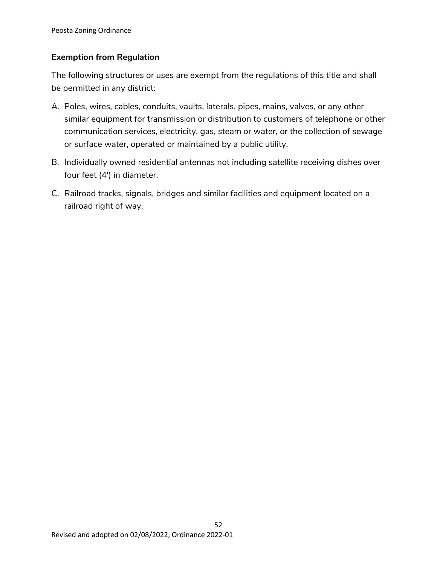## **Exemption from Regulation**

The following structures or uses are exempt from the regulations of this title and shall be permitted in any district:

- A. Poles, wires, cables, conduits, vaults, laterals, pipes, mains, valves, or any other similar equipment for transmission or distribution to customers of telephone or other communication services, electricity, gas, steam or water, or the collection of sewage or surface water, operated or maintained by a public utility.
- B. Individually owned residential antennas not including satellite receiving dishes over four feet (4') in diameter.
- C. Railroad tracks, signals, bridges and similar facilities and equipment located on a railroad right of way.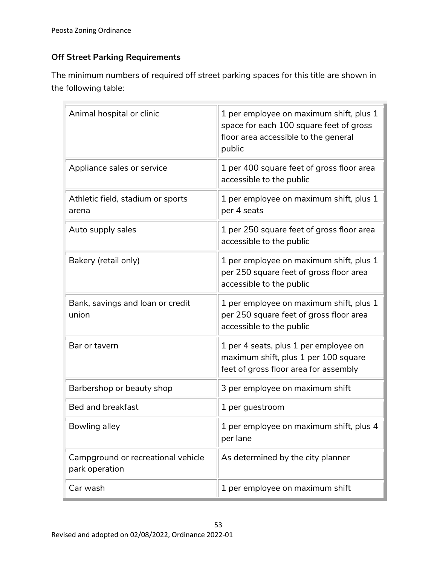# **Off Street Parking Requirements**

The minimum numbers of required off street parking spaces for this title are shown in the following table:

| Animal hospital or clinic                            | 1 per employee on maximum shift, plus 1<br>space for each 100 square feet of gross<br>floor area accessible to the general<br>public |
|------------------------------------------------------|--------------------------------------------------------------------------------------------------------------------------------------|
| Appliance sales or service                           | 1 per 400 square feet of gross floor area<br>accessible to the public                                                                |
| Athletic field, stadium or sports<br>arena           | 1 per employee on maximum shift, plus 1<br>per 4 seats                                                                               |
| Auto supply sales                                    | 1 per 250 square feet of gross floor area<br>accessible to the public                                                                |
| Bakery (retail only)                                 | 1 per employee on maximum shift, plus 1<br>per 250 square feet of gross floor area<br>accessible to the public                       |
| Bank, savings and loan or credit<br>union            | 1 per employee on maximum shift, plus 1<br>per 250 square feet of gross floor area<br>accessible to the public                       |
| Bar or tavern                                        | 1 per 4 seats, plus 1 per employee on<br>maximum shift, plus 1 per 100 square<br>feet of gross floor area for assembly               |
| Barbershop or beauty shop                            | 3 per employee on maximum shift                                                                                                      |
| <b>Bed and breakfast</b>                             | 1 per guestroom                                                                                                                      |
| Bowling alley                                        | 1 per employee on maximum shift, plus 4<br>per lane                                                                                  |
| Campground or recreational vehicle<br>park operation | As determined by the city planner                                                                                                    |
| Car wash                                             | 1 per employee on maximum shift                                                                                                      |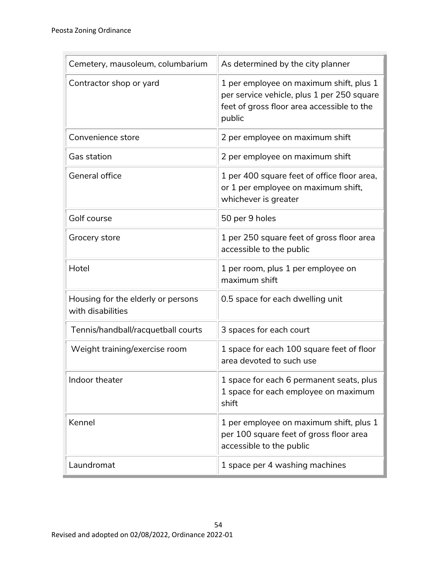| Cemetery, mausoleum, columbarium                        | As determined by the city planner                                                                                                             |  |  |
|---------------------------------------------------------|-----------------------------------------------------------------------------------------------------------------------------------------------|--|--|
| Contractor shop or yard                                 | 1 per employee on maximum shift, plus 1<br>per service vehicle, plus 1 per 250 square<br>feet of gross floor area accessible to the<br>public |  |  |
| Convenience store                                       | 2 per employee on maximum shift                                                                                                               |  |  |
| <b>Gas station</b>                                      | 2 per employee on maximum shift                                                                                                               |  |  |
| <b>General office</b>                                   | 1 per 400 square feet of office floor area,<br>or 1 per employee on maximum shift,<br>whichever is greater                                    |  |  |
| Golf course                                             | 50 per 9 holes                                                                                                                                |  |  |
| Grocery store                                           | 1 per 250 square feet of gross floor area<br>accessible to the public                                                                         |  |  |
| Hotel                                                   | 1 per room, plus 1 per employee on<br>maximum shift                                                                                           |  |  |
| Housing for the elderly or persons<br>with disabilities | 0.5 space for each dwelling unit                                                                                                              |  |  |
| Tennis/handball/racquetball courts                      | 3 spaces for each court                                                                                                                       |  |  |
| Weight training/exercise room                           | 1 space for each 100 square feet of floor<br>area devoted to such use                                                                         |  |  |
| Indoor theater                                          | 1 space for each 6 permanent seats, plus<br>1 space for each employee on maximum<br>shift                                                     |  |  |
| Kennel                                                  | 1 per employee on maximum shift, plus 1<br>per 100 square feet of gross floor area<br>accessible to the public                                |  |  |
| Laundromat                                              | 1 space per 4 washing machines                                                                                                                |  |  |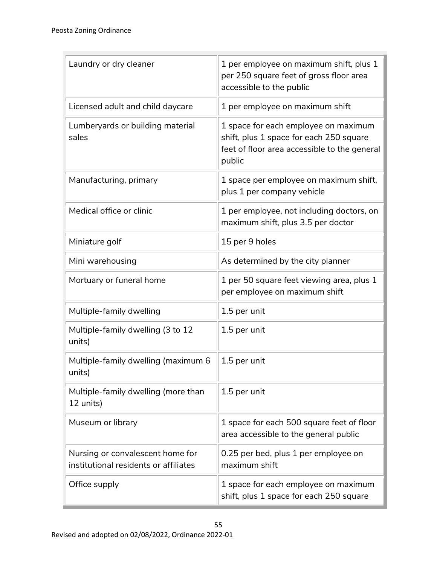| Laundry or dry cleaner                                                    | 1 per employee on maximum shift, plus 1<br>per 250 square feet of gross floor area<br>accessible to the public                            |
|---------------------------------------------------------------------------|-------------------------------------------------------------------------------------------------------------------------------------------|
| Licensed adult and child daycare                                          | 1 per employee on maximum shift                                                                                                           |
| Lumberyards or building material<br>sales                                 | 1 space for each employee on maximum<br>shift, plus 1 space for each 250 square<br>feet of floor area accessible to the general<br>public |
| Manufacturing, primary                                                    | 1 space per employee on maximum shift,<br>plus 1 per company vehicle                                                                      |
| Medical office or clinic                                                  | 1 per employee, not including doctors, on<br>maximum shift, plus 3.5 per doctor                                                           |
| Miniature golf                                                            | 15 per 9 holes                                                                                                                            |
| Mini warehousing                                                          | As determined by the city planner                                                                                                         |
| Mortuary or funeral home                                                  | 1 per 50 square feet viewing area, plus 1<br>per employee on maximum shift                                                                |
| Multiple-family dwelling                                                  | 1.5 per unit                                                                                                                              |
| Multiple-family dwelling (3 to 12<br>units)                               | 1.5 per unit                                                                                                                              |
| Multiple-family dwelling (maximum 6<br>units)                             | 1.5 per unit                                                                                                                              |
| Multiple-family dwelling (more than<br>12 units)                          | 1.5 per unit                                                                                                                              |
| Museum or library                                                         | 1 space for each 500 square feet of floor<br>area accessible to the general public                                                        |
| Nursing or convalescent home for<br>institutional residents or affiliates | 0.25 per bed, plus 1 per employee on<br>maximum shift                                                                                     |
| Office supply                                                             | 1 space for each employee on maximum<br>shift, plus 1 space for each 250 square                                                           |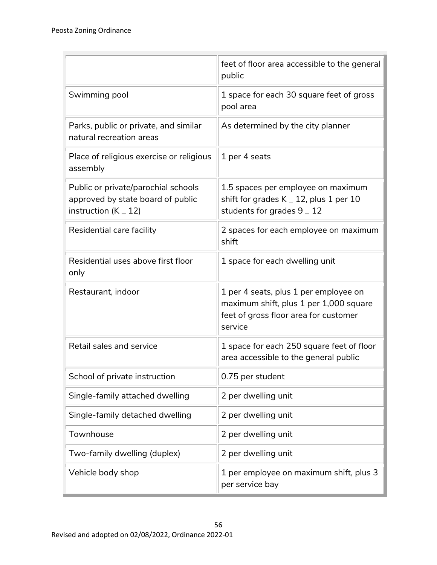|                                                                                                      | feet of floor area accessible to the general<br>public                                                                              |
|------------------------------------------------------------------------------------------------------|-------------------------------------------------------------------------------------------------------------------------------------|
| Swimming pool                                                                                        | 1 space for each 30 square feet of gross<br>pool area                                                                               |
| Parks, public or private, and similar<br>natural recreation areas                                    | As determined by the city planner                                                                                                   |
| Place of religious exercise or religious<br>assembly                                                 | 1 per 4 seats                                                                                                                       |
| Public or private/parochial schools<br>approved by state board of public<br>instruction ( $K = 12$ ) | 1.5 spaces per employee on maximum<br>shift for grades $K = 12$ , plus 1 per 10<br>students for grades $9 - 12$                     |
| Residential care facility                                                                            | 2 spaces for each employee on maximum<br>shift                                                                                      |
| Residential uses above first floor<br>only                                                           | 1 space for each dwelling unit                                                                                                      |
| Restaurant, indoor                                                                                   | 1 per 4 seats, plus 1 per employee on<br>maximum shift, plus 1 per 1,000 square<br>feet of gross floor area for customer<br>service |
| Retail sales and service                                                                             | 1 space for each 250 square feet of floor<br>area accessible to the general public                                                  |
| School of private instruction                                                                        | 0.75 per student                                                                                                                    |
| Single-family attached dwelling                                                                      | 2 per dwelling unit                                                                                                                 |
| Single-family detached dwelling                                                                      | 2 per dwelling unit                                                                                                                 |
| Townhouse                                                                                            | 2 per dwelling unit                                                                                                                 |
| Two-family dwelling (duplex)                                                                         | 2 per dwelling unit                                                                                                                 |
| Vehicle body shop                                                                                    | 1 per employee on maximum shift, plus 3<br>per service bay                                                                          |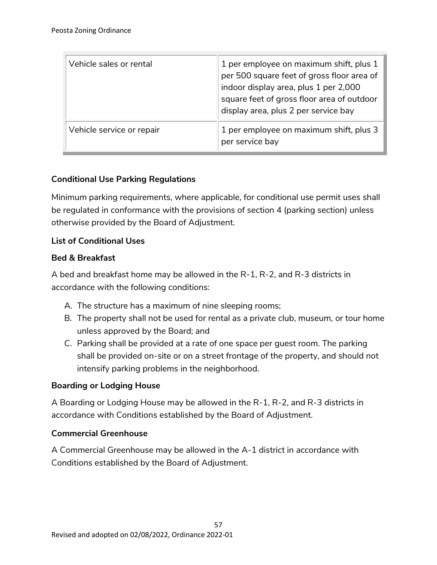| Vehicle sales or rental   | 1 per employee on maximum shift, plus 1<br>per 500 square feet of gross floor area of<br>indoor display area, plus 1 per 2,000<br>square feet of gross floor area of outdoor<br>display area, plus 2 per service bay |
|---------------------------|----------------------------------------------------------------------------------------------------------------------------------------------------------------------------------------------------------------------|
| Vehicle service or repair | 1 per employee on maximum shift, plus 3<br>per service bay                                                                                                                                                           |

## **Conditional Use Parking Regulations**

Minimum parking requirements, where applicable, for conditional use permit uses shall be regulated in conformance with the provisions of section 4 (parking section) unless otherwise provided by the Board of Adjustment.

#### **List of Conditional Uses**

#### **Bed & Breakfast**

A bed and breakfast home may be allowed in the R-1, R-2, and R-3 districts in accordance with the following conditions:

- A. The structure has a maximum of nine sleeping rooms;
- B. The property shall not be used for rental as a private club, museum, or tour home unless approved by the Board; and
- C. Parking shall be provided at a rate of one space per guest room. The parking shall be provided on-site or on a street frontage of the property, and should not intensify parking problems in the neighborhood.

## **Boarding or Lodging House**

A Boarding or Lodging House may be allowed in the R-1, R-2, and R-3 districts in accordance with Conditions established by the Board of Adjustment.

#### **Commercial Greenhouse**

A Commercial Greenhouse may be allowed in the A-1 district in accordance with Conditions established by the Board of Adjustment.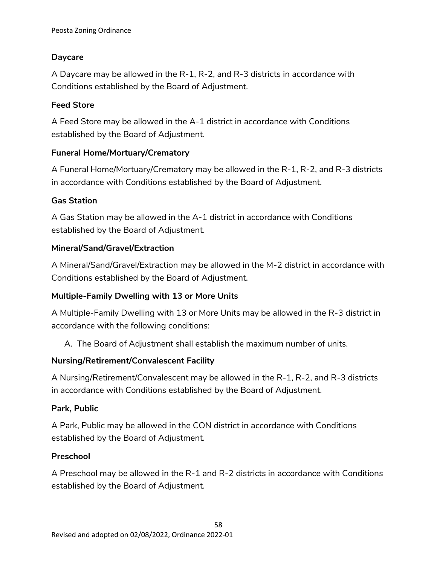## **Daycare**

A Daycare may be allowed in the R-1, R-2, and R-3 districts in accordance with Conditions established by the Board of Adjustment.

## **Feed Store**

A Feed Store may be allowed in the A-1 district in accordance with Conditions established by the Board of Adjustment.

## **Funeral Home/Mortuary/Crematory**

A Funeral Home/Mortuary/Crematory may be allowed in the R-1, R-2, and R-3 districts in accordance with Conditions established by the Board of Adjustment.

## **Gas Station**

A Gas Station may be allowed in the A-1 district in accordance with Conditions established by the Board of Adjustment.

## **Mineral/Sand/Gravel/Extraction**

A Mineral/Sand/Gravel/Extraction may be allowed in the M-2 district in accordance with Conditions established by the Board of Adjustment.

## **Multiple-Family Dwelling with 13 or More Units**

A Multiple-Family Dwelling with 13 or More Units may be allowed in the R-3 district in accordance with the following conditions:

A. The Board of Adjustment shall establish the maximum number of units.

## **Nursing/Retirement/Convalescent Facility**

A Nursing/Retirement/Convalescent may be allowed in the R-1, R-2, and R-3 districts in accordance with Conditions established by the Board of Adjustment.

## **Park, Public**

A Park, Public may be allowed in the CON district in accordance with Conditions established by the Board of Adjustment.

#### **Preschool**

A Preschool may be allowed in the R-1 and R-2 districts in accordance with Conditions established by the Board of Adjustment.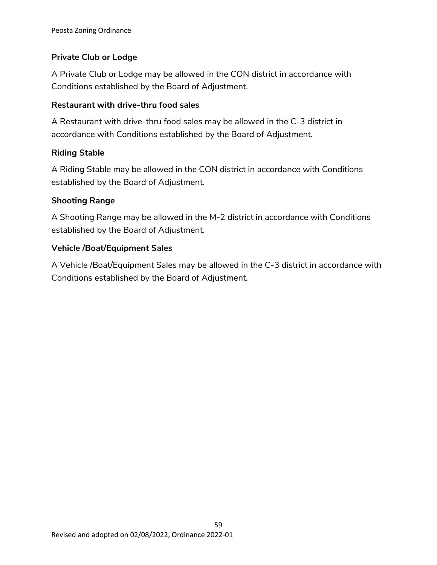# **Private Club or Lodge**

A Private Club or Lodge may be allowed in the CON district in accordance with Conditions established by the Board of Adjustment.

## **Restaurant with drive-thru food sales**

A Restaurant with drive-thru food sales may be allowed in the C-3 district in accordance with Conditions established by the Board of Adjustment.

## **Riding Stable**

A Riding Stable may be allowed in the CON district in accordance with Conditions established by the Board of Adjustment.

## **Shooting Range**

A Shooting Range may be allowed in the M-2 district in accordance with Conditions established by the Board of Adjustment.

## **Vehicle /Boat/Equipment Sales**

A Vehicle /Boat/Equipment Sales may be allowed in the C-3 district in accordance with Conditions established by the Board of Adjustment.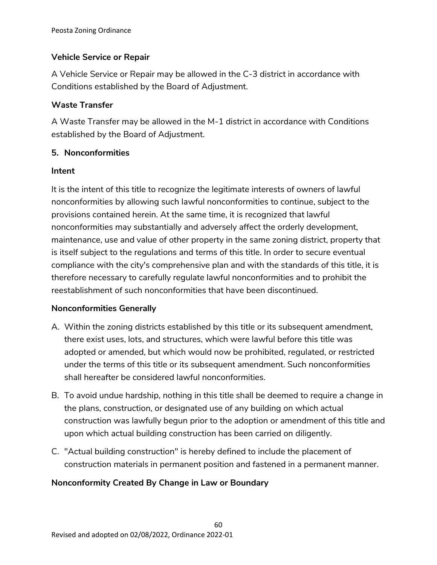# **Vehicle Service or Repair**

A Vehicle Service or Repair may be allowed in the C-3 district in accordance with Conditions established by the Board of Adjustment.

## **Waste Transfer**

A Waste Transfer may be allowed in the M-1 district in accordance with Conditions established by the Board of Adjustment.

## **5. Nonconformities**

## **Intent**

It is the intent of this title to recognize the legitimate interests of owners of lawful nonconformities by allowing such lawful nonconformities to continue, subject to the provisions contained herein. At the same time, it is recognized that lawful nonconformities may substantially and adversely affect the orderly development, maintenance, use and value of other property in the same zoning district, property that is itself subject to the regulations and terms of this title. In order to secure eventual compliance with the city's comprehensive plan and with the standards of this title, it is therefore necessary to carefully regulate lawful nonconformities and to prohibit the reestablishment of such nonconformities that have been discontinued.

## **Nonconformities Generally**

- A. Within the zoning districts established by this title or its subsequent amendment, there exist uses, lots, and structures, which were lawful before this title was adopted or amended, but which would now be prohibited, regulated, or restricted under the terms of this title or its subsequent amendment. Such nonconformities shall hereafter be considered lawful nonconformities.
- B. To avoid undue hardship, nothing in this title shall be deemed to require a change in the plans, construction, or designated use of any building on which actual construction was lawfully begun prior to the adoption or amendment of this title and upon which actual building construction has been carried on diligently.
- C. "Actual building construction" is hereby defined to include the placement of construction materials in permanent position and fastened in a permanent manner.

# **Nonconformity Created By Change in Law or Boundary**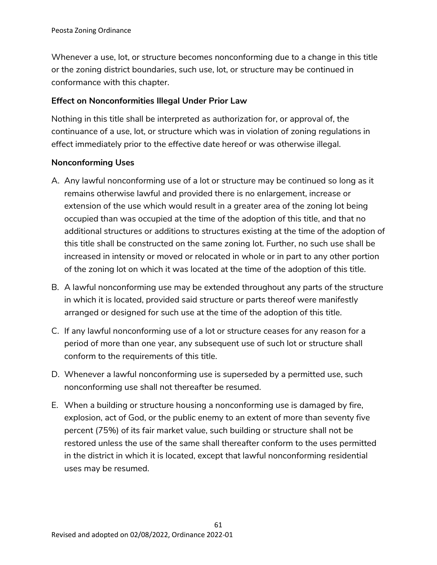Whenever a use, lot, or structure becomes nonconforming due to a change in this title or the zoning district boundaries, such use, lot, or structure may be continued in conformance with this chapter.

#### **Effect on Nonconformities Illegal Under Prior Law**

Nothing in this title shall be interpreted as authorization for, or approval of, the continuance of a use, lot, or structure which was in violation of zoning regulations in effect immediately prior to the effective date hereof or was otherwise illegal.

#### **Nonconforming Uses**

- A. Any lawful nonconforming use of a lot or structure may be continued so long as it remains otherwise lawful and provided there is no enlargement, increase or extension of the use which would result in a greater area of the zoning lot being occupied than was occupied at the time of the adoption of this title, and that no additional structures or additions to structures existing at the time of the adoption of this title shall be constructed on the same zoning lot. Further, no such use shall be increased in intensity or moved or relocated in whole or in part to any other portion of the zoning lot on which it was located at the time of the adoption of this title.
- B. A lawful nonconforming use may be extended throughout any parts of the structure in which it is located, provided said structure or parts thereof were manifestly arranged or designed for such use at the time of the adoption of this title.
- C. If any lawful nonconforming use of a lot or structure ceases for any reason for a period of more than one year, any subsequent use of such lot or structure shall conform to the requirements of this title.
- D. Whenever a lawful nonconforming use is superseded by a permitted use, such nonconforming use shall not thereafter be resumed.
- E. When a building or structure housing a nonconforming use is damaged by fire, explosion, act of God, or the public enemy to an extent of more than seventy five percent (75%) of its fair market value, such building or structure shall not be restored unless the use of the same shall thereafter conform to the uses permitted in the district in which it is located, except that lawful nonconforming residential uses may be resumed.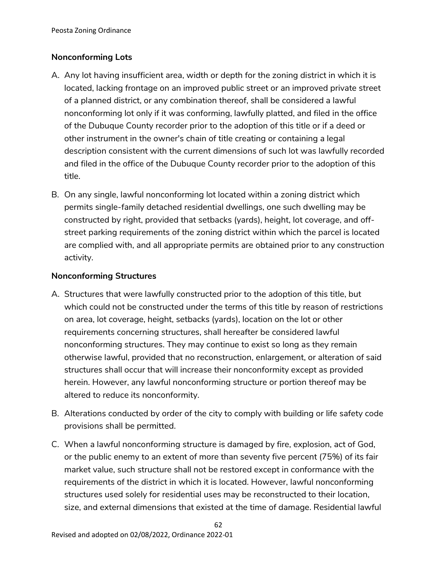# **Nonconforming Lots**

- A. Any lot having insufficient area, width or depth for the zoning district in which it is located, lacking frontage on an improved public street or an improved private street of a planned district, or any combination thereof, shall be considered a lawful nonconforming lot only if it was conforming, lawfully platted, and filed in the office of the Dubuque County recorder prior to the adoption of this title or if a deed or other instrument in the owner's chain of title creating or containing a legal description consistent with the current dimensions of such lot was lawfully recorded and filed in the office of the Dubuque County recorder prior to the adoption of this title.
- B. On any single, lawful nonconforming lot located within a zoning district which permits single-family detached residential dwellings, one such dwelling may be constructed by right, provided that setbacks (yards), height, lot coverage, and offstreet parking requirements of the zoning district within which the parcel is located are complied with, and all appropriate permits are obtained prior to any construction activity.

## **Nonconforming Structures**

- A. Structures that were lawfully constructed prior to the adoption of this title, but which could not be constructed under the terms of this title by reason of restrictions on area, lot coverage, height, setbacks (yards), location on the lot or other requirements concerning structures, shall hereafter be considered lawful nonconforming structures. They may continue to exist so long as they remain otherwise lawful, provided that no reconstruction, enlargement, or alteration of said structures shall occur that will increase their nonconformity except as provided herein. However, any lawful nonconforming structure or portion thereof may be altered to reduce its nonconformity.
- B. Alterations conducted by order of the city to comply with building or life safety code provisions shall be permitted.
- C. When a lawful nonconforming structure is damaged by fire, explosion, act of God, or the public enemy to an extent of more than seventy five percent (75%) of its fair market value, such structure shall not be restored except in conformance with the requirements of the district in which it is located. However, lawful nonconforming structures used solely for residential uses may be reconstructed to their location, size, and external dimensions that existed at the time of damage. Residential lawful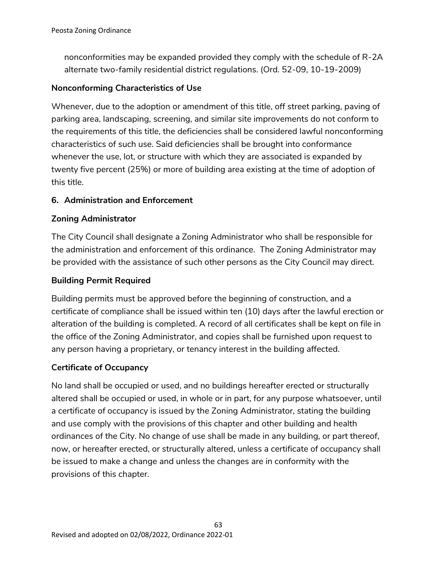nonconformities may be expanded provided they comply with the schedule of R-2A alternate two-family residential district regulations. (Ord. 52-09, 10-19-2009)

## **Nonconforming Characteristics of Use**

Whenever, due to the adoption or amendment of this title, off street parking, paving of parking area, landscaping, screening, and similar site improvements do not conform to the requirements of this title, the deficiencies shall be considered lawful nonconforming characteristics of such use. Said deficiencies shall be brought into conformance whenever the use, lot, or structure with which they are associated is expanded by twenty five percent (25%) or more of building area existing at the time of adoption of this title.

## **6. Administration and Enforcement**

## **Zoning Administrator**

The City Council shall designate a Zoning Administrator who shall be responsible for the administration and enforcement of this ordinance. The Zoning Administrator may be provided with the assistance of such other persons as the City Council may direct.

## **Building Permit Required**

Building permits must be approved before the beginning of construction, and a certificate of compliance shall be issued within ten (10) days after the lawful erection or alteration of the building is completed. A record of all certificates shall be kept on file in the office of the Zoning Administrator, and copies shall be furnished upon request to any person having a proprietary, or tenancy interest in the building affected.

#### **Certificate of Occupancy**

No land shall be occupied or used, and no buildings hereafter erected or structurally altered shall be occupied or used, in whole or in part, for any purpose whatsoever, until a certificate of occupancy is issued by the Zoning Administrator, stating the building and use comply with the provisions of this chapter and other building and health ordinances of the City. No change of use shall be made in any building, or part thereof, now, or hereafter erected, or structurally altered, unless a certificate of occupancy shall be issued to make a change and unless the changes are in conformity with the provisions of this chapter.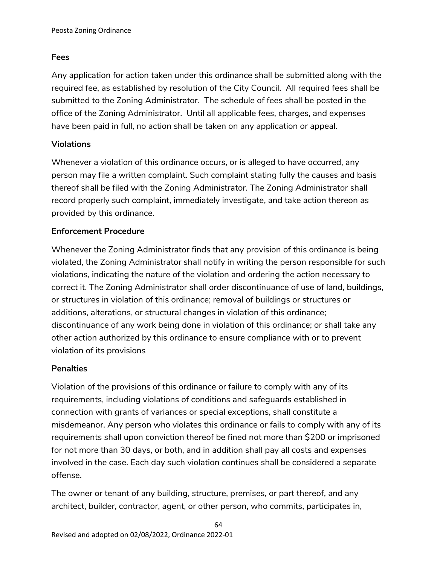## **Fees**

Any application for action taken under this ordinance shall be submitted along with the required fee, as established by resolution of the City Council. All required fees shall be submitted to the Zoning Administrator. The schedule of fees shall be posted in the office of the Zoning Administrator. Until all applicable fees, charges, and expenses have been paid in full, no action shall be taken on any application or appeal.

## **Violations**

Whenever a violation of this ordinance occurs, or is alleged to have occurred, any person may file a written complaint. Such complaint stating fully the causes and basis thereof shall be filed with the Zoning Administrator. The Zoning Administrator shall record properly such complaint, immediately investigate, and take action thereon as provided by this ordinance.

## **Enforcement Procedure**

Whenever the Zoning Administrator finds that any provision of this ordinance is being violated, the Zoning Administrator shall notify in writing the person responsible for such violations, indicating the nature of the violation and ordering the action necessary to correct it. The Zoning Administrator shall order discontinuance of use of land, buildings, or structures in violation of this ordinance; removal of buildings or structures or additions, alterations, or structural changes in violation of this ordinance; discontinuance of any work being done in violation of this ordinance; or shall take any other action authorized by this ordinance to ensure compliance with or to prevent violation of its provisions

#### **Penalties**

Violation of the provisions of this ordinance or failure to comply with any of its requirements, including violations of conditions and safeguards established in connection with grants of variances or special exceptions, shall constitute a misdemeanor. Any person who violates this ordinance or fails to comply with any of its requirements shall upon conviction thereof be fined not more than \$200 or imprisoned for not more than 30 days, or both, and in addition shall pay all costs and expenses involved in the case. Each day such violation continues shall be considered a separate offense.

The owner or tenant of any building, structure, premises, or part thereof, and any architect, builder, contractor, agent, or other person, who commits, participates in,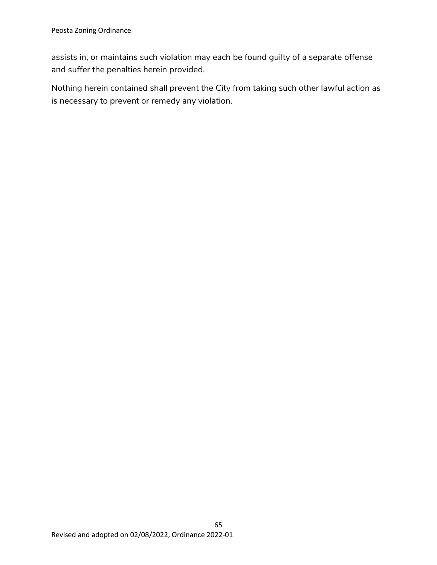assists in, or maintains such violation may each be found guilty of a separate offense and suffer the penalties herein provided.

Nothing herein contained shall prevent the City from taking such other lawful action as is necessary to prevent or remedy any violation.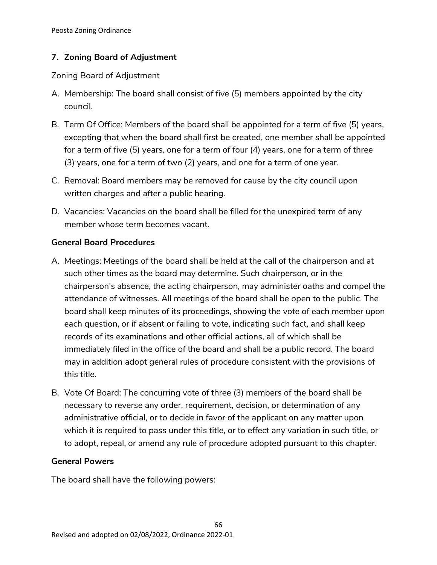## **7. Zoning Board of Adjustment**

Zoning Board of Adjustment

- A. Membership: The board shall consist of five (5) members appointed by the city council.
- B. Term Of Office: Members of the board shall be appointed for a term of five (5) years, excepting that when the board shall first be created, one member shall be appointed for a term of five (5) years, one for a term of four (4) years, one for a term of three (3) years, one for a term of two (2) years, and one for a term of one year.
- C. Removal: Board members may be removed for cause by the city council upon written charges and after a public hearing.
- D. Vacancies: Vacancies on the board shall be filled for the unexpired term of any member whose term becomes vacant.

## **General Board Procedures**

- A. Meetings: Meetings of the board shall be held at the call of the chairperson and at such other times as the board may determine. Such chairperson, or in the chairperson's absence, the acting chairperson, may administer oaths and compel the attendance of witnesses. All meetings of the board shall be open to the public. The board shall keep minutes of its proceedings, showing the vote of each member upon each question, or if absent or failing to vote, indicating such fact, and shall keep records of its examinations and other official actions, all of which shall be immediately filed in the office of the board and shall be a public record. The board may in addition adopt general rules of procedure consistent with the provisions of this title.
- B. Vote Of Board: The concurring vote of three (3) members of the board shall be necessary to reverse any order, requirement, decision, or determination of any administrative official, or to decide in favor of the applicant on any matter upon which it is required to pass under this title, or to effect any variation in such title, or to adopt, repeal, or amend any rule of procedure adopted pursuant to this chapter.

#### **General Powers**

The board shall have the following powers: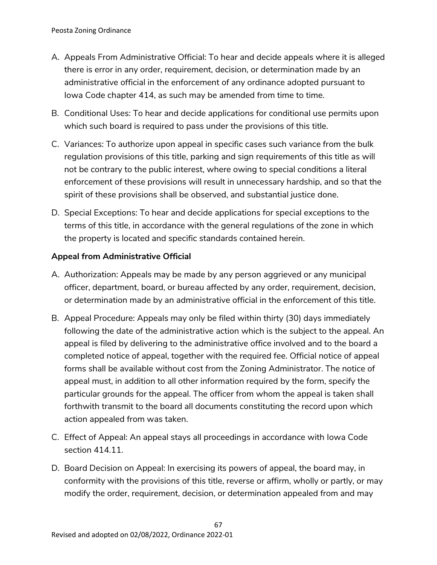- A. Appeals From Administrative Official: To hear and decide appeals where it is alleged there is error in any order, requirement, decision, or determination made by an administrative official in the enforcement of any ordinance adopted pursuant to Iowa Code chapter 414, as such may be amended from time to time.
- B. Conditional Uses: To hear and decide applications for conditional use permits upon which such board is required to pass under the provisions of this title.
- C. Variances: To authorize upon appeal in specific cases such variance from the bulk regulation provisions of this title, parking and sign requirements of this title as will not be contrary to the public interest, where owing to special conditions a literal enforcement of these provisions will result in unnecessary hardship, and so that the spirit of these provisions shall be observed, and substantial justice done.
- D. Special Exceptions: To hear and decide applications for special exceptions to the terms of this title, in accordance with the general regulations of the zone in which the property is located and specific standards contained herein.

## **Appeal from Administrative Official**

- A. Authorization: Appeals may be made by any person aggrieved or any municipal officer, department, board, or bureau affected by any order, requirement, decision, or determination made by an administrative official in the enforcement of this title.
- B. Appeal Procedure: Appeals may only be filed within thirty (30) days immediately following the date of the administrative action which is the subject to the appeal. An appeal is filed by delivering to the administrative office involved and to the board a completed notice of appeal, together with the required fee. Official notice of appeal forms shall be available without cost from the Zoning Administrator. The notice of appeal must, in addition to all other information required by the form, specify the particular grounds for the appeal. The officer from whom the appeal is taken shall forthwith transmit to the board all documents constituting the record upon which action appealed from was taken.
- C. Effect of Appeal: An appeal stays all proceedings in accordance with Iowa Code section 414.11.
- D. Board Decision on Appeal: In exercising its powers of appeal, the board may, in conformity with the provisions of this title, reverse or affirm, wholly or partly, or may modify the order, requirement, decision, or determination appealed from and may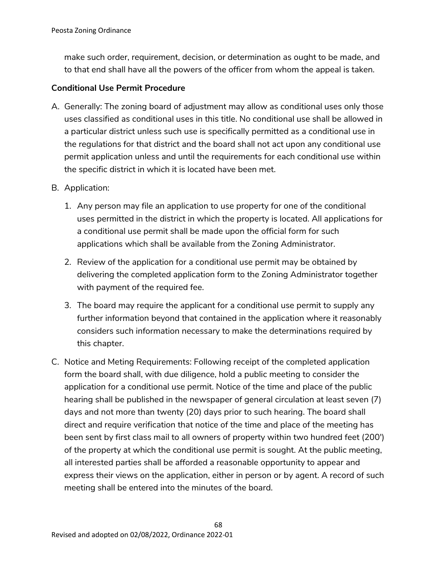make such order, requirement, decision, or determination as ought to be made, and to that end shall have all the powers of the officer from whom the appeal is taken.

#### **Conditional Use Permit Procedure**

- A. Generally: The zoning board of adjustment may allow as conditional uses only those uses classified as conditional uses in this title. No conditional use shall be allowed in a particular district unless such use is specifically permitted as a conditional use in the regulations for that district and the board shall not act upon any conditional use permit application unless and until the requirements for each conditional use within the specific district in which it is located have been met.
- B. Application:
	- 1. Any person may file an application to use property for one of the conditional uses permitted in the district in which the property is located. All applications for a conditional use permit shall be made upon the official form for such applications which shall be available from the Zoning Administrator.
	- 2. Review of the application for a conditional use permit may be obtained by delivering the completed application form to the Zoning Administrator together with payment of the required fee.
	- 3. The board may require the applicant for a conditional use permit to supply any further information beyond that contained in the application where it reasonably considers such information necessary to make the determinations required by this chapter.
- C. Notice and Meting Requirements: Following receipt of the completed application form the board shall, with due diligence, hold a public meeting to consider the application for a conditional use permit. Notice of the time and place of the public hearing shall be published in the newspaper of general circulation at least seven (7) days and not more than twenty (20) days prior to such hearing. The board shall direct and require verification that notice of the time and place of the meeting has been sent by first class mail to all owners of property within two hundred feet (200') of the property at which the conditional use permit is sought. At the public meeting, all interested parties shall be afforded a reasonable opportunity to appear and express their views on the application, either in person or by agent. A record of such meeting shall be entered into the minutes of the board.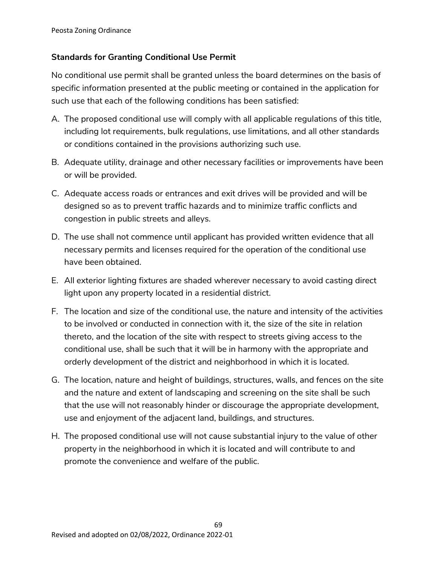## **Standards for Granting Conditional Use Permit**

No conditional use permit shall be granted unless the board determines on the basis of specific information presented at the public meeting or contained in the application for such use that each of the following conditions has been satisfied:

- A. The proposed conditional use will comply with all applicable regulations of this title, including lot requirements, bulk regulations, use limitations, and all other standards or conditions contained in the provisions authorizing such use.
- B. Adequate utility, drainage and other necessary facilities or improvements have been or will be provided.
- C. Adequate access roads or entrances and exit drives will be provided and will be designed so as to prevent traffic hazards and to minimize traffic conflicts and congestion in public streets and alleys.
- D. The use shall not commence until applicant has provided written evidence that all necessary permits and licenses required for the operation of the conditional use have been obtained.
- E. All exterior lighting fixtures are shaded wherever necessary to avoid casting direct light upon any property located in a residential district.
- F. The location and size of the conditional use, the nature and intensity of the activities to be involved or conducted in connection with it, the size of the site in relation thereto, and the location of the site with respect to streets giving access to the conditional use, shall be such that it will be in harmony with the appropriate and orderly development of the district and neighborhood in which it is located.
- G. The location, nature and height of buildings, structures, walls, and fences on the site and the nature and extent of landscaping and screening on the site shall be such that the use will not reasonably hinder or discourage the appropriate development, use and enjoyment of the adjacent land, buildings, and structures.
- H. The proposed conditional use will not cause substantial injury to the value of other property in the neighborhood in which it is located and will contribute to and promote the convenience and welfare of the public.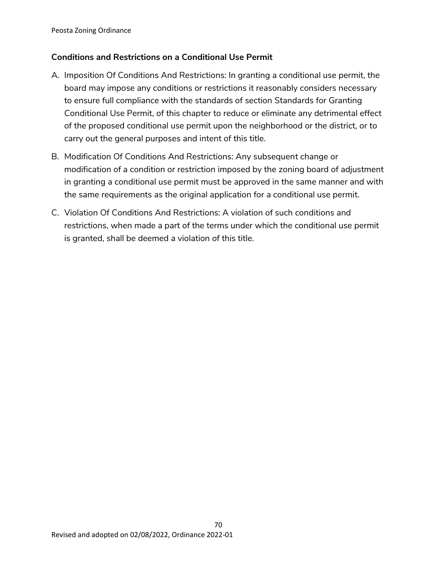# **Conditions and Restrictions on a Conditional Use Permit**

- A. Imposition Of Conditions And Restrictions: In granting a conditional use permit, the board may impose any conditions or restrictions it reasonably considers necessary to ensure full compliance with the standards of section Standards for Granting Conditional Use Permit, of this chapter to reduce or eliminate any detrimental effect of the proposed conditional use permit upon the neighborhood or the district, or to carry out the general purposes and intent of this title.
- B. Modification Of Conditions And Restrictions: Any subsequent change or modification of a condition or restriction imposed by the zoning board of adjustment in granting a conditional use permit must be approved in the same manner and with the same requirements as the original application for a conditional use permit.
- C. Violation Of Conditions And Restrictions: A violation of such conditions and restrictions, when made a part of the terms under which the conditional use permit is granted, shall be deemed a violation of this title.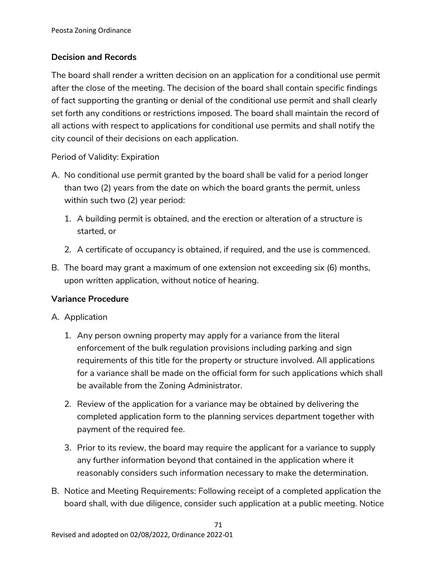## **Decision and Records**

The board shall render a written decision on an application for a conditional use permit after the close of the meeting. The decision of the board shall contain specific findings of fact supporting the granting or denial of the conditional use permit and shall clearly set forth any conditions or restrictions imposed. The board shall maintain the record of all actions with respect to applications for conditional use permits and shall notify the city council of their decisions on each application.

## Period of Validity: Expiration

- A. No conditional use permit granted by the board shall be valid for a period longer than two (2) years from the date on which the board grants the permit, unless within such two (2) year period:
	- 1. A building permit is obtained, and the erection or alteration of a structure is started, or
	- 2. A certificate of occupancy is obtained, if required, and the use is commenced.
- B. The board may grant a maximum of one extension not exceeding six (6) months, upon written application, without notice of hearing.

#### **Variance Procedure**

- A. Application
	- 1. Any person owning property may apply for a variance from the literal enforcement of the bulk regulation provisions including parking and sign requirements of this title for the property or structure involved. All applications for a variance shall be made on the official form for such applications which shall be available from the Zoning Administrator.
	- 2. Review of the application for a variance may be obtained by delivering the completed application form to the planning services department together with payment of the required fee.
	- 3. Prior to its review, the board may require the applicant for a variance to supply any further information beyond that contained in the application where it reasonably considers such information necessary to make the determination.
- B. Notice and Meeting Requirements: Following receipt of a completed application the board shall, with due diligence, consider such application at a public meeting. Notice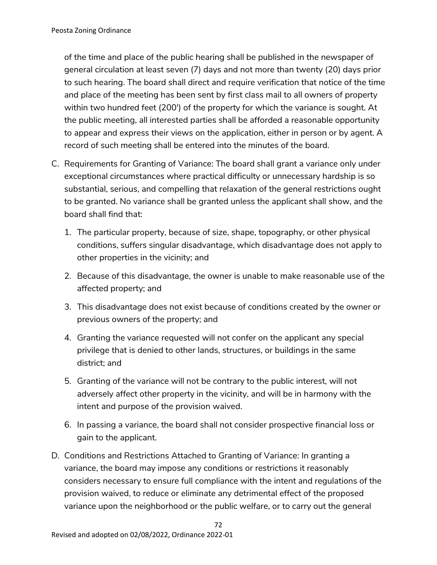of the time and place of the public hearing shall be published in the newspaper of general circulation at least seven (7) days and not more than twenty (20) days prior to such hearing. The board shall direct and require verification that notice of the time and place of the meeting has been sent by first class mail to all owners of property within two hundred feet (200') of the property for which the variance is sought. At the public meeting, all interested parties shall be afforded a reasonable opportunity to appear and express their views on the application, either in person or by agent. A record of such meeting shall be entered into the minutes of the board.

- C. Requirements for Granting of Variance: The board shall grant a variance only under exceptional circumstances where practical difficulty or unnecessary hardship is so substantial, serious, and compelling that relaxation of the general restrictions ought to be granted. No variance shall be granted unless the applicant shall show, and the board shall find that:
	- 1. The particular property, because of size, shape, topography, or other physical conditions, suffers singular disadvantage, which disadvantage does not apply to other properties in the vicinity; and
	- 2. Because of this disadvantage, the owner is unable to make reasonable use of the affected property; and
	- 3. This disadvantage does not exist because of conditions created by the owner or previous owners of the property; and
	- 4. Granting the variance requested will not confer on the applicant any special privilege that is denied to other lands, structures, or buildings in the same district; and
	- 5. Granting of the variance will not be contrary to the public interest, will not adversely affect other property in the vicinity, and will be in harmony with the intent and purpose of the provision waived.
	- 6. In passing a variance, the board shall not consider prospective financial loss or gain to the applicant.
- D. Conditions and Restrictions Attached to Granting of Variance: In granting a variance, the board may impose any conditions or restrictions it reasonably considers necessary to ensure full compliance with the intent and regulations of the provision waived, to reduce or eliminate any detrimental effect of the proposed variance upon the neighborhood or the public welfare, or to carry out the general

72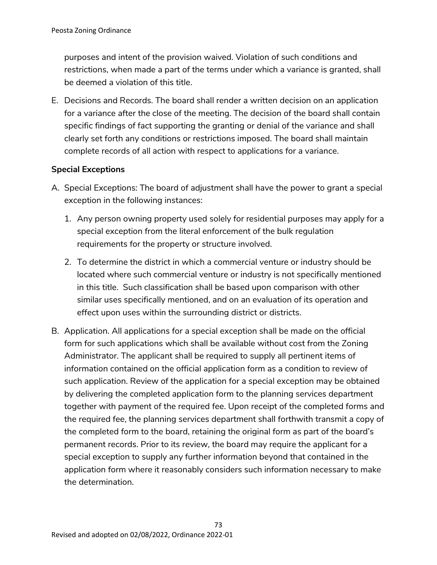purposes and intent of the provision waived. Violation of such conditions and restrictions, when made a part of the terms under which a variance is granted, shall be deemed a violation of this title.

E. Decisions and Records. The board shall render a written decision on an application for a variance after the close of the meeting. The decision of the board shall contain specific findings of fact supporting the granting or denial of the variance and shall clearly set forth any conditions or restrictions imposed. The board shall maintain complete records of all action with respect to applications for a variance.

## **Special Exceptions**

- A. Special Exceptions: The board of adjustment shall have the power to grant a special exception in the following instances:
	- 1. Any person owning property used solely for residential purposes may apply for a special exception from the literal enforcement of the bulk regulation requirements for the property or structure involved.
	- 2. To determine the district in which a commercial venture or industry should be located where such commercial venture or industry is not specifically mentioned in this title. Such classification shall be based upon comparison with other similar uses specifically mentioned, and on an evaluation of its operation and effect upon uses within the surrounding district or districts.
- B. Application. All applications for a special exception shall be made on the official form for such applications which shall be available without cost from the Zoning Administrator. The applicant shall be required to supply all pertinent items of information contained on the official application form as a condition to review of such application. Review of the application for a special exception may be obtained by delivering the completed application form to the planning services department together with payment of the required fee. Upon receipt of the completed forms and the required fee, the planning services department shall forthwith transmit a copy of the completed form to the board, retaining the original form as part of the board's permanent records. Prior to its review, the board may require the applicant for a special exception to supply any further information beyond that contained in the application form where it reasonably considers such information necessary to make the determination.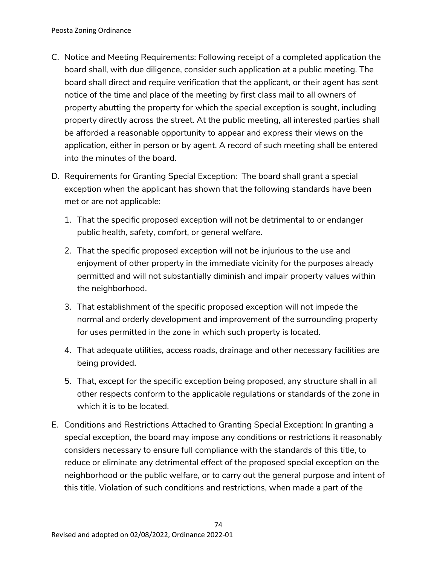- C. Notice and Meeting Requirements: Following receipt of a completed application the board shall, with due diligence, consider such application at a public meeting. The board shall direct and require verification that the applicant, or their agent has sent notice of the time and place of the meeting by first class mail to all owners of property abutting the property for which the special exception is sought, including property directly across the street. At the public meeting, all interested parties shall be afforded a reasonable opportunity to appear and express their views on the application, either in person or by agent. A record of such meeting shall be entered into the minutes of the board.
- D. Requirements for Granting Special Exception: The board shall grant a special exception when the applicant has shown that the following standards have been met or are not applicable:
	- 1. That the specific proposed exception will not be detrimental to or endanger public health, safety, comfort, or general welfare.
	- 2. That the specific proposed exception will not be injurious to the use and enjoyment of other property in the immediate vicinity for the purposes already permitted and will not substantially diminish and impair property values within the neighborhood.
	- 3. That establishment of the specific proposed exception will not impede the normal and orderly development and improvement of the surrounding property for uses permitted in the zone in which such property is located.
	- 4. That adequate utilities, access roads, drainage and other necessary facilities are being provided.
	- 5. That, except for the specific exception being proposed, any structure shall in all other respects conform to the applicable regulations or standards of the zone in which it is to be located.
- E. Conditions and Restrictions Attached to Granting Special Exception: In granting a special exception, the board may impose any conditions or restrictions it reasonably considers necessary to ensure full compliance with the standards of this title, to reduce or eliminate any detrimental effect of the proposed special exception on the neighborhood or the public welfare, or to carry out the general purpose and intent of this title. Violation of such conditions and restrictions, when made a part of the